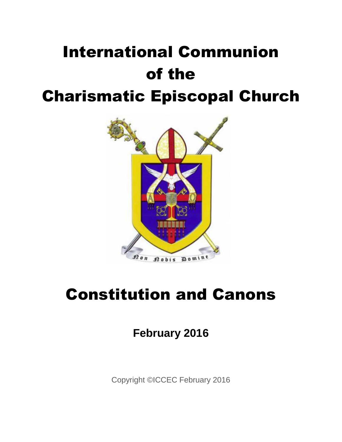# International Communion of the Charismatic Episcopal Church



# Constitution and Canons

# **February 2016**

Copyright ©ICCEC February 2016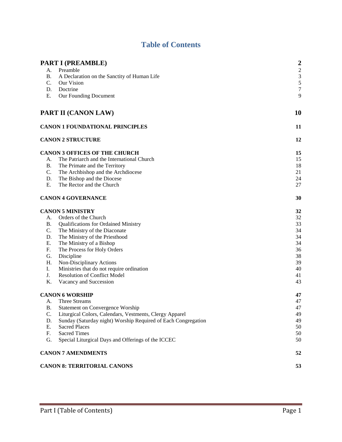### **Table of Contents**

|                                    | PART I (PREAMBLE)                                             | $\boldsymbol{2}$ |
|------------------------------------|---------------------------------------------------------------|------------------|
| A.                                 | Preamble                                                      | $\boldsymbol{2}$ |
| <b>B.</b>                          | A Declaration on the Sanctity of Human Life                   | $\mathfrak{Z}$   |
| C.                                 | Our Vision                                                    | 5                |
| D.                                 | Doctrine                                                      | $\boldsymbol{7}$ |
| Ε.                                 | Our Founding Document                                         | 9                |
| PART II (CANON LAW)                |                                                               | 10               |
|                                    | <b>CANON 1 FOUNDATIONAL PRINCIPLES</b>                        | 11               |
|                                    | <b>CANON 2 STRUCTURE</b>                                      | 12               |
|                                    | <b>CANON 3 OFFICES OF THE CHURCH</b>                          | 15               |
| A.                                 | The Patriarch and the International Church                    | 15               |
| <b>B.</b>                          | The Primate and the Territory                                 | 18               |
| C.                                 | The Archbishop and the Archdiocese                            | 21               |
| D.                                 | The Bishop and the Diocese                                    | 24               |
| Ε.                                 | The Rector and the Church                                     | 27               |
|                                    | <b>CANON 4 GOVERNANCE</b>                                     | 30               |
|                                    | <b>CANON 5 MINISTRY</b>                                       | 32               |
| А.                                 | Orders of the Church                                          | 32               |
| <b>B.</b>                          | Qualifications for Ordained Ministry                          | 33               |
| C.                                 | The Ministry of the Diaconate                                 | 34               |
| D.                                 | The Ministry of the Priesthood                                | 34               |
| Е.                                 | The Ministry of a Bishop                                      | 34               |
| F.                                 | The Process for Holy Orders                                   | 36               |
| G.                                 | Discipline                                                    | 38               |
| Η.                                 | Non-Disciplinary Actions                                      | 39               |
| I.                                 | Ministries that do not require ordination                     | 40               |
| J.                                 | <b>Resolution of Conflict Model</b>                           | 41               |
| K.                                 | Vacancy and Succession                                        | 43               |
|                                    | <b>CANON 6 WORSHIP</b>                                        | 47               |
| A.                                 | Three Streams                                                 | 47               |
| Β.                                 | <b>Statement on Convergence Worship</b>                       | 47               |
| C.                                 | Liturgical Colors, Calendars, Vestments, Clergy Apparel       | 49               |
| D.                                 | Sunday (Saturday night) Worship Required of Each Congregation | 49               |
| Ε.                                 | <b>Sacred Places</b>                                          | 50               |
| F.                                 | <b>Sacred Times</b>                                           | 50               |
| G.                                 | Special Liturgical Days and Offerings of the ICCEC            | 50               |
| <b>CANON 7 AMENDMENTS</b>          |                                                               | 52               |
| <b>CANON 8: TERRITORIAL CANONS</b> |                                                               | 53               |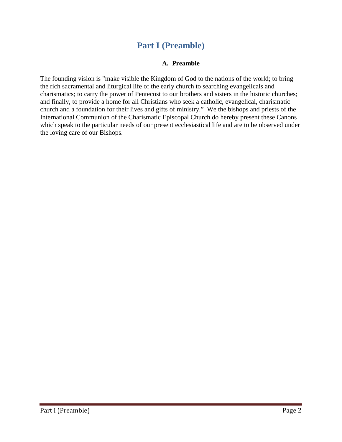## **Part I (Preamble)**

#### **A. Preamble**

The founding vision is "make visible the Kingdom of God to the nations of the world; to bring the rich sacramental and liturgical life of the early church to searching evangelicals and charismatics; to carry the power of Pentecost to our brothers and sisters in the historic churches; and finally, to provide a home for all Christians who seek a catholic, evangelical, charismatic church and a foundation for their lives and gifts of ministry." We the bishops and priests of the International Communion of the Charismatic Episcopal Church do hereby present these Canons which speak to the particular needs of our present ecclesiastical life and are to be observed under the loving care of our Bishops.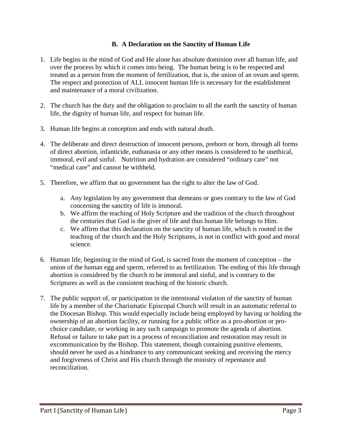#### **B. A Declaration on the Sanctity of Human Life**

- 1. Life begins in the mind of God and He alone has absolute dominion over all human life, and over the process by which it comes into being. The human being is to be respected and treated as a person from the moment of fertilization, that is, the union of an ovum and sperm. The respect and protection of ALL innocent human life is necessary for the establishment and maintenance of a moral civilization.
- 2. The church has the duty and the obligation to proclaim to all the earth the sanctity of human life, the dignity of human life, and respect for human life.
- 3. Human life begins at conception and ends with natural death.
- 4. The deliberate and direct destruction of innocent persons, preborn or born, through all forms of direct abortion, infanticide, euthanasia or any other means is considered to be unethical, immoral, evil and sinful. Nutrition and hydration are considered "ordinary care" not "medical care" and cannot be withheld.
- 5. Therefore, we affirm that no government has the right to alter the law of God.
	- a. Any legislation by any government that demeans or goes contrary to the law of God concerning the sanctity of life is immoral.
	- b. We affirm the teaching of Holy Scripture and the tradition of the church throughout the centuries that God is the giver of life and thus human life belongs to Him.
	- c. We affirm that this declaration on the sanctity of human life, which is rooted in the teaching of the church and the Holy Scriptures, is not in conflict with good and moral science.
- 6. Human life, beginning in the mind of God, is sacred from the moment of conception the union of the human egg and sperm, referred to as fertilization. The ending of this life through abortion is considered by the church to be immoral and sinful, and is contrary to the Scriptures as well as the consistent teaching of the historic church.
- 7. The public support of, or participation in the intentional violation of the sanctity of human life by a member of the Charismatic Episcopal Church will result in an automatic referral to the Diocesan Bishop. This would especially include being employed by having or holding the ownership of an abortion facility, or running for a public office as a pro-abortion or prochoice candidate, or working in any such campaign to promote the agenda of abortion. Refusal or failure to take part in a process of reconciliation and restoration may result in excommunication by the Bishop. This statement, though containing punitive elements, should never be used as a hindrance to any communicant seeking and receiving the mercy and forgiveness of Christ and His church through the ministry of repentance and reconciliation.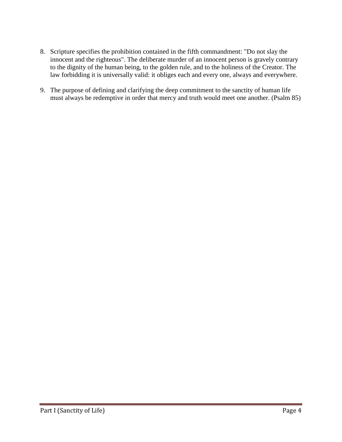- 8. Scripture specifies the prohibition contained in the fifth commandment: "Do not slay the innocent and the righteous". The deliberate murder of an innocent person is gravely contrary to the dignity of the human being, to the golden rule, and to the holiness of the Creator. The law forbidding it is universally valid: it obliges each and every one, always and everywhere.
- 9. The purpose of defining and clarifying the deep commitment to the sanctity of human life must always be redemptive in order that mercy and truth would meet one another. (Psalm 85)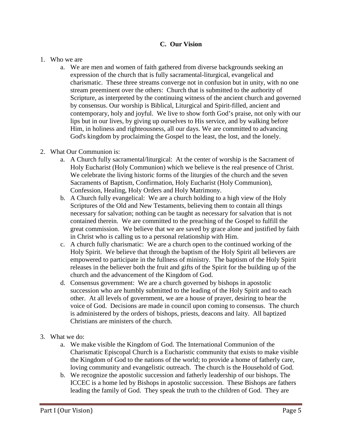#### **C. Our Vision**

- 1. Who we are
	- a. We are men and women of faith gathered from diverse backgrounds seeking an expression of the church that is fully sacramental-liturgical, evangelical and charismatic. These three streams converge not in confusion but in unity, with no one stream preeminent over the others: Church that is submitted to the authority of Scripture, as interpreted by the continuing witness of the ancient church and governed by consensus. Our worship is Biblical, Liturgical and Spirit-filled, ancient and contemporary, holy and joyful. We live to show forth God's praise, not only with our lips but in our lives, by giving up ourselves to His service, and by walking before Him, in holiness and righteousness, all our days. We are committed to advancing God's kingdom by proclaiming the Gospel to the least, the lost, and the lonely.
- 2. What Our Communion is:
	- a. A Church fully sacramental/liturgical: At the center of worship is the Sacrament of Holy Eucharist (Holy Communion) which we believe is the real presence of Christ. We celebrate the living historic forms of the liturgies of the church and the seven Sacraments of Baptism, Confirmation, Holy Eucharist (Holy Communion), Confession, Healing, Holy Orders and Holy Matrimony.
	- b. A Church fully evangelical: We are a church holding to a high view of the Holy Scriptures of the Old and New Testaments, believing them to contain all things necessary for salvation; nothing can be taught as necessary for salvation that is not contained therein. We are committed to the preaching of the Gospel to fulfill the great commission. We believe that we are saved by grace alone and justified by faith in Christ who is calling us to a personal relationship with Him.
	- c. A church fully charismatic: We are a church open to the continued working of the Holy Spirit. We believe that through the baptism of the Holy Spirit all believers are empowered to participate in the fullness of ministry. The baptism of the Holy Spirit releases in the believer both the fruit and gifts of the Spirit for the building up of the church and the advancement of the Kingdom of God.
	- d. Consensus government: We are a church governed by bishops in apostolic succession who are humbly submitted to the leading of the Holy Spirit and to each other. At all levels of government, we are a house of prayer, desiring to hear the voice of God. Decisions are made in council upon coming to consensus. The church is administered by the orders of bishops, priests, deacons and laity. All baptized Christians are ministers of the church.
- 3. What we do:
	- a. We make visible the Kingdom of God. The International Communion of the Charismatic Episcopal Church is a Eucharistic community that exists to make visible the Kingdom of God to the nations of the world; to provide a home of fatherly care, loving community and evangelistic outreach. The church is the Household of God.
	- b. We recognize the apostolic succession and fatherly leadership of our bishops. The ICCEC is a home led by Bishops in apostolic succession. These Bishops are fathers leading the family of God. They speak the truth to the children of God. They are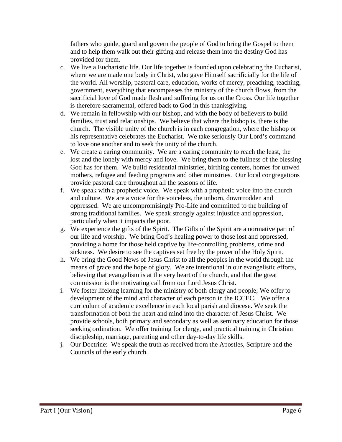fathers who guide, guard and govern the people of God to bring the Gospel to them and to help them walk out their gifting and release them into the destiny God has provided for them.

- c. We live a Eucharistic life. Our life together is founded upon celebrating the Eucharist, where we are made one body in Christ, who gave Himself sacrificially for the life of the world. All worship, pastoral care, education, works of mercy, preaching, teaching, government, everything that encompasses the ministry of the church flows, from the sacrificial love of God made flesh and suffering for us on the Cross. Our life together is therefore sacramental, offered back to God in this thanksgiving.
- d. We remain in fellowship with our bishop, and with the body of believers to build families, trust and relationships. We believe that where the bishop is, there is the church. The visible unity of the church is in each congregation, where the bishop or his representative celebrates the Eucharist. We take seriously Our Lord's command to love one another and to seek the unity of the church.
- e. We create a caring community. We are a caring community to reach the least, the lost and the lonely with mercy and love. We bring them to the fullness of the blessing God has for them. We build residential ministries, birthing centers, homes for unwed mothers, refugee and feeding programs and other ministries. Our local congregations provide pastoral care throughout all the seasons of life.
- f. We speak with a prophetic voice. We speak with a prophetic voice into the church and culture. We are a voice for the voiceless, the unborn, downtrodden and oppressed. We are uncompromisingly Pro-Life and committed to the building of strong traditional families. We speak strongly against injustice and oppression, particularly when it impacts the poor.
- g. We experience the gifts of the Spirit. The Gifts of the Spirit are a normative part of our life and worship. We bring God's healing power to those lost and oppressed, providing a home for those held captive by life-controlling problems, crime and sickness. We desire to see the captives set free by the power of the Holy Spirit.
- h. We bring the Good News of Jesus Christ to all the peoples in the world through the means of grace and the hope of glory. We are intentional in our evangelistic efforts, believing that evangelism is at the very heart of the church, and that the great commission is the motivating call from our Lord Jesus Christ.
- i. We foster lifelong learning for the ministry of both clergy and people; We offer to development of the mind and character of each person in the ICCEC. We offer a curriculum of academic excellence in each local parish and diocese. We seek the transformation of both the heart and mind into the character of Jesus Christ. We provide schools, both primary and secondary as well as seminary education for those seeking ordination. We offer training for clergy, and practical training in Christian discipleship, marriage, parenting and other day-to-day life skills.
- j. Our Doctrine: We speak the truth as received from the Apostles, Scripture and the Councils of the early church.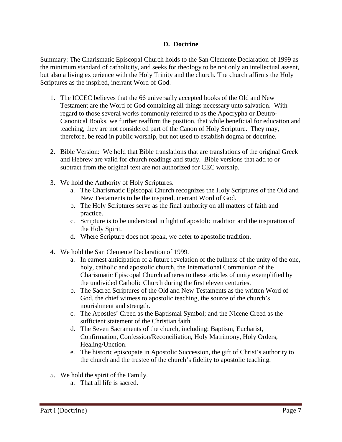#### **D. Doctrine**

Summary: The Charismatic Episcopal Church holds to the San Clemente Declaration of 1999 as the minimum standard of catholicity, and seeks for theology to be not only an intellectual assent, but also a living experience with the Holy Trinity and the church. The church affirms the Holy Scriptures as the inspired, inerrant Word of God.

- 1. The ICCEC believes that the 66 universally accepted books of the Old and New Testament are the Word of God containing all things necessary unto salvation. With regard to those several works commonly referred to as the Apocrypha or Deutro-Canonical Books, we further reaffirm the position, that while beneficial for education and teaching, they are not considered part of the Canon of Holy Scripture. They may, therefore, be read in public worship, but not used to establish dogma or doctrine.
- 2. Bible Version: We hold that Bible translations that are translations of the original Greek and Hebrew are valid for church readings and study. Bible versions that add to or subtract from the original text are not authorized for CEC worship.
- 3. We hold the Authority of Holy Scriptures.
	- a. The Charismatic Episcopal Church recognizes the Holy Scriptures of the Old and New Testaments to be the inspired, inerrant Word of God.
	- b. The Holy Scriptures serve as the final authority on all matters of faith and practice.
	- c. Scripture is to be understood in light of apostolic tradition and the inspiration of the Holy Spirit.
	- d. Where Scripture does not speak, we defer to apostolic tradition.
- 4. We hold the San Clemente Declaration of 1999.
	- a. In earnest anticipation of a future revelation of the fullness of the unity of the one, holy, catholic and apostolic church, the International Communion of the Charismatic Episcopal Church adheres to these articles of unity exemplified by the undivided Catholic Church during the first eleven centuries.
	- b. The Sacred Scriptures of the Old and New Testaments as the written Word of God, the chief witness to apostolic teaching, the source of the church's nourishment and strength.
	- c. The Apostles' Creed as the Baptismal Symbol; and the Nicene Creed as the sufficient statement of the Christian faith.
	- d. The Seven Sacraments of the church, including: Baptism, Eucharist, Confirmation, Confession/Reconciliation, Holy Matrimony, Holy Orders, Healing/Unction.
	- e. The historic episcopate in Apostolic Succession, the gift of Christ's authority to the church and the trustee of the church's fidelity to apostolic teaching.
- 5. We hold the spirit of the Family.
	- a. That all life is sacred.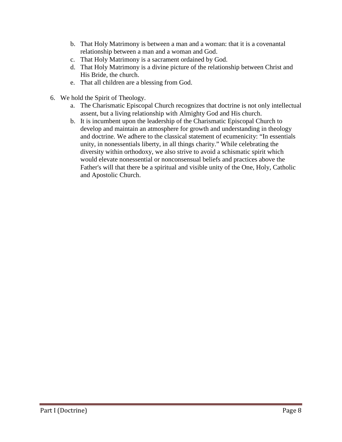- b. That Holy Matrimony is between a man and a woman: that it is a covenantal relationship between a man and a woman and God.
- c. That Holy Matrimony is a sacrament ordained by God.
- d. That Holy Matrimony is a divine picture of the relationship between Christ and His Bride, the church.
- e. That all children are a blessing from God.
- 6. We hold the Spirit of Theology.
	- a. The Charismatic Episcopal Church recognizes that doctrine is not only intellectual assent, but a living relationship with Almighty God and His church.
	- b. It is incumbent upon the leadership of the Charismatic Episcopal Church to develop and maintain an atmosphere for growth and understanding in theology and doctrine. We adhere to the classical statement of ecumenicity: "In essentials unity, in nonessentials liberty, in all things charity." While celebrating the diversity within orthodoxy, we also strive to avoid a schismatic spirit which would elevate nonessential or nonconsensual beliefs and practices above the Father's will that there be a spiritual and visible unity of the One, Holy, Catholic and Apostolic Church.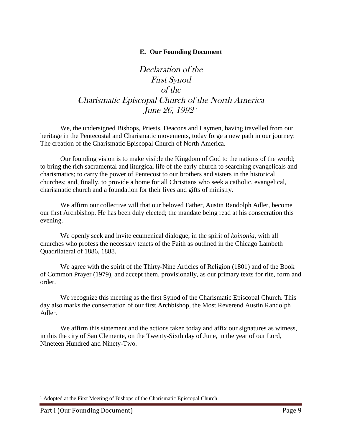#### **E. Our Founding Document**

### Declaration of the First Synod of the Charismatic Episcopal Church of the North America June 26, 1992 <sup>1</sup>

We, the undersigned Bishops, Priests, Deacons and Laymen, having travelled from our heritage in the Pentecostal and Charismatic movements, today forge a new path in our journey: The creation of the Charismatic Episcopal Church of North America.

Our founding vision is to make visible the Kingdom of God to the nations of the world; to bring the rich sacramental and liturgical life of the early church to searching evangelicals and charismatics; to carry the power of Pentecost to our brothers and sisters in the historical churches; and, finally, to provide a home for all Christians who seek a catholic, evangelical, charismatic church and a foundation for their lives and gifts of ministry.

We affirm our collective will that our beloved Father, Austin Randolph Adler, become our first Archbishop. He has been duly elected; the mandate being read at his consecration this evening.

We openly seek and invite ecumenical dialogue, in the spirit of *koinonia*, with all churches who profess the necessary tenets of the Faith as outlined in the Chicago Lambeth Quadrilateral of 1886, 1888.

We agree with the spirit of the Thirty-Nine Articles of Religion (1801) and of the Book of Common Prayer (1979), and accept them, provisionally, as our primary texts for rite, form and order.

We recognize this meeting as the first Synod of the Charismatic Episcopal Church. This day also marks the consecration of our first Archbishop, the Most Reverend Austin Randolph Adler.

We affirm this statement and the actions taken today and affix our signatures as witness, in this the city of San Clemente, on the Twenty-Sixth day of June, in the year of our Lord, Nineteen Hundred and Ninety-Two.

<sup>&</sup>lt;sup>1</sup> Adopted at the First Meeting of Bishops of the Charismatic Episcopal Church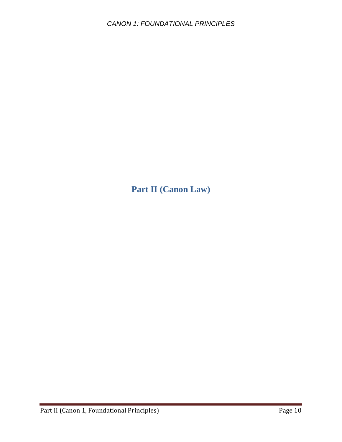**Part II (Canon Law)**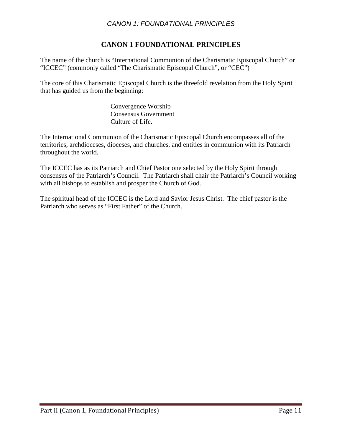#### *CANON 1: FOUNDATIONAL PRINCIPLES*

#### **CANON 1 FOUNDATIONAL PRINCIPLES**

The name of the church is "International Communion of the Charismatic Episcopal Church" or "ICCEC" (commonly called "The Charismatic Episcopal Church", or "CEC")

The core of this Charismatic Episcopal Church is the threefold revelation from the Holy Spirit that has guided us from the beginning:

> Convergence Worship Consensus Government Culture of Life.

The International Communion of the Charismatic Episcopal Church encompasses all of the territories, archdioceses, dioceses, and churches, and entities in communion with its Patriarch throughout the world.

The ICCEC has as its Patriarch and Chief Pastor one selected by the Holy Spirit through consensus of the Patriarch's Council. The Patriarch shall chair the Patriarch's Council working with all bishops to establish and prosper the Church of God.

The spiritual head of the ICCEC is the Lord and Savior Jesus Christ. The chief pastor is the Patriarch who serves as "First Father" of the Church.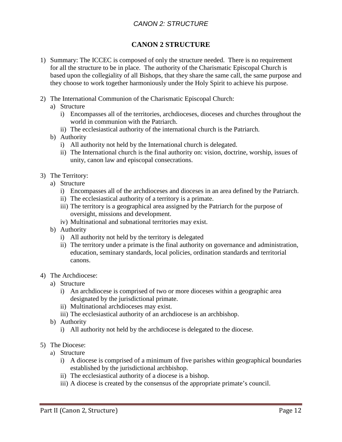#### *CANON 2: STRUCTURE*

#### **CANON 2 STRUCTURE**

- 1) Summary: The ICCEC is composed of only the structure needed. There is no requirement for all the structure to be in place. The authority of the Charismatic Episcopal Church is based upon the collegiality of all Bishops, that they share the same call, the same purpose and they choose to work together harmoniously under the Holy Spirit to achieve his purpose.
- 2) The International Communion of the Charismatic Episcopal Church:
	- a) Structure
		- i) Encompasses all of the territories, archdioceses, dioceses and churches throughout the world in communion with the Patriarch.
		- ii) The ecclesiastical authority of the international church is the Patriarch.
	- b) Authority
		- i) All authority not held by the International church is delegated.
		- ii) The International church is the final authority on: vision, doctrine, worship, issues of unity, canon law and episcopal consecrations.
- 3) The Territory:
	- a) Structure
		- i) Encompasses all of the archdioceses and dioceses in an area defined by the Patriarch.
		- ii) The ecclesiastical authority of a territory is a primate.
		- iii) The territory is a geographical area assigned by the Patriarch for the purpose of oversight, missions and development.
		- iv) Multinational and subnational territories may exist.
	- b) Authority
		- i) All authority not held by the territory is delegated
		- ii) The territory under a primate is the final authority on governance and administration, education, seminary standards, local policies, ordination standards and territorial canons.
- 4) The Archdiocese:
	- a) Structure
		- i) An archdiocese is comprised of two or more dioceses within a geographic area designated by the jurisdictional primate.
		- ii) Multinational archdioceses may exist.
		- iii) The ecclesiastical authority of an archdiocese is an archbishop.
	- b) Authority
		- i) All authority not held by the archdiocese is delegated to the diocese.
- 5) The Diocese:
	- a) Structure
		- i) A diocese is comprised of a minimum of five parishes within geographical boundaries established by the jurisdictional archbishop.
		- ii) The ecclesiastical authority of a diocese is a bishop.
		- iii) A diocese is created by the consensus of the appropriate primate's council.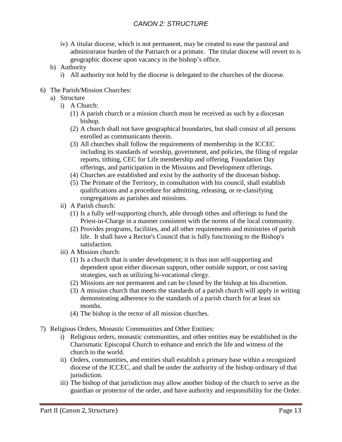- iv) A titular diocese, which is not permanent, may be created to ease the pastoral and administrator burden of the Patriarch or a primate. The titular diocese will revert to is geographic diocese upon vacancy in the bishop's office.
- b) Authority
	- i) All authority not held by the diocese is delegated to the churches of the diocese.
- 6) The Parish/Mission Churches:
	- a) Structure
		- i) A Church:
			- (1) A parish church or a mission church must be received as such by a diocesan bishop.
			- (2) A church shall not have geographical boundaries, but shall consist of all persons enrolled as communicants therein.
			- (3) All churches shall follow the requirements of membership in the ICCEC including its standards of worship, government, and policies, the filing of regular reports, tithing, CEC for Life membership and offering, Foundation Day offerings, and participation in the Missions and Development offerings.
			- (4) Churches are established and exist by the authority of the diocesan bishop.
			- (5) The Primate of the Territory, in consultation with his council, shall establish qualifications and a procedure for admitting, releasing, or re-classifying congregations as parishes and missions.
		- ii) A Parish church:
			- (1) Is a fully self-supporting church, able through tithes and offerings to fund the Priest-in-Charge in a manner consistent with the norms of the local community.
			- (2) Provides programs, facilities, and all other requirements and ministries of parish life. It shall have a Rector's Council that is fully functioning to the Bishop's satisfaction.
		- iii) A Mission church:
			- (1) Is a church that is under development; it is thus non self-supporting and dependent upon either diocesan support, other outside support, or cost saving strategies, such as utilizing bi-vocational clergy.
			- (2) Missions are not permanent and can be closed by the bishop at his discretion.
			- (3) A mission church that meets the standards of a parish church will apply in writing demonstrating adherence to the standards of a parish church for at least six months.
			- (4) The bishop is the rector of all mission churches.
- 7) Religious Orders, Monastic Communities and Other Entities:
	- i) Religious orders, monastic communities, and other entities may be established in the Charismatic Episcopal Church to enhance and enrich the life and witness of the church to the world.
	- ii) Orders, communities, and entities shall establish a primary base within a recognized diocese of the ICCEC, and shall be under the authority of the bishop ordinary of that jurisdiction.
	- iii) The bishop of that jurisdiction may allow another bishop of the church to serve as the guardian or protector of the order, and have authority and responsibility for the Order.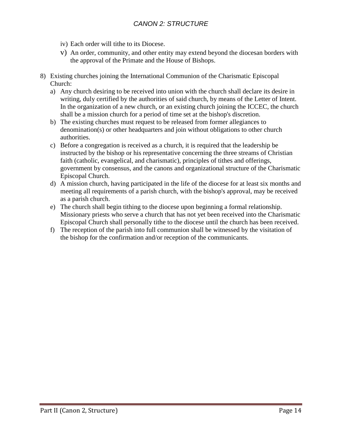- iv) Each order will tithe to its Diocese.
- v) An order, community, and other entity may extend beyond the diocesan borders with the approval of the Primate and the House of Bishops.
- 8) Existing churches joining the International Communion of the Charismatic Episcopal Church:
	- a) Any church desiring to be received into union with the church shall declare its desire in writing, duly certified by the authorities of said church, by means of the Letter of Intent. In the organization of a new church, or an existing church joining the ICCEC, the church shall be a mission church for a period of time set at the bishop's discretion.
	- b) The existing churches must request to be released from former allegiances to denomination(s) or other headquarters and join without obligations to other church authorities.
	- c) Before a congregation is received as a church, it is required that the leadership be instructed by the bishop or his representative concerning the three streams of Christian faith (catholic, evangelical, and charismatic), principles of tithes and offerings, government by consensus, and the canons and organizational structure of the Charismatic Episcopal Church.
	- d) A mission church, having participated in the life of the diocese for at least six months and meeting all requirements of a parish church, with the bishop's approval, may be received as a parish church.
	- e) The church shall begin tithing to the diocese upon beginning a formal relationship. Missionary priests who serve a church that has not yet been received into the Charismatic Episcopal Church shall personally tithe to the diocese until the church has been received.
	- f) The reception of the parish into full communion shall be witnessed by the visitation of the bishop for the confirmation and/or reception of the communicants.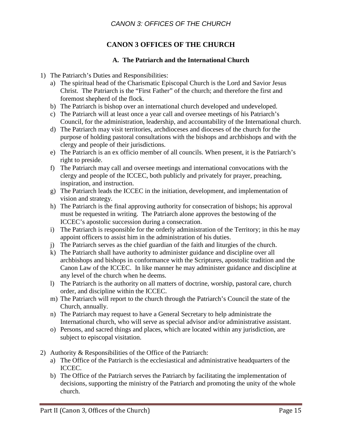#### **CANON 3 OFFICES OF THE CHURCH**

#### **A. The Patriarch and the International Church**

- 1) The Patriarch's Duties and Responsibilities:
	- a) The spiritual head of the Charismatic Episcopal Church is the Lord and Savior Jesus Christ. The Patriarch is the "First Father" of the church; and therefore the first and foremost shepherd of the flock.
	- b) The Patriarch is bishop over an international church developed and undeveloped.
	- c) The Patriarch will at least once a year call and oversee meetings of his Patriarch's Council, for the administration, leadership, and accountability of the International church.
	- d) The Patriarch may visit territories, archdioceses and dioceses of the church for the purpose of holding pastoral consultations with the bishops and archbishops and with the clergy and people of their jurisdictions.
	- e) The Patriarch is an ex officio member of all councils. When present, it is the Patriarch's right to preside.
	- f) The Patriarch may call and oversee meetings and international convocations with the clergy and people of the ICCEC, both publicly and privately for prayer, preaching, inspiration, and instruction.
	- g) The Patriarch leads the ICCEC in the initiation, development, and implementation of vision and strategy.
	- h) The Patriarch is the final approving authority for consecration of bishops; his approval must be requested in writing. The Patriarch alone approves the bestowing of the ICCEC's apostolic succession during a consecration.
	- i) The Patriarch is responsible for the orderly administration of the Territory; in this he may appoint officers to assist him in the administration of his duties.
	- j) The Patriarch serves as the chief guardian of the faith and liturgies of the church.
	- k) The Patriarch shall have authority to administer guidance and discipline over all archbishops and bishops in conformance with the Scriptures, apostolic tradition and the Canon Law of the ICCEC. In like manner he may administer guidance and discipline at any level of the church when he deems.
	- l) The Patriarch is the authority on all matters of doctrine, worship, pastoral care, church order, and discipline within the ICCEC.
	- m) The Patriarch will report to the church through the Patriarch's Council the state of the Church, annually.
	- n) The Patriarch may request to have a General Secretary to help administrate the International church, who will serve as special advisor and/or administrative assistant.
	- o) Persons, and sacred things and places, which are located within any jurisdiction, are subject to episcopal visitation.
- 2) Authority & Responsibilities of the Office of the Patriarch:
	- a) The Office of the Patriarch is the ecclesiastical and administrative headquarters of the ICCEC.
	- b) The Office of the Patriarch serves the Patriarch by facilitating the implementation of decisions, supporting the ministry of the Patriarch and promoting the unity of the whole church.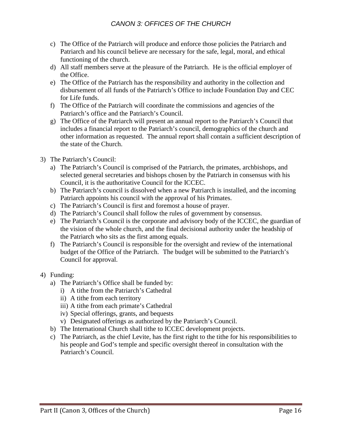- c) The Office of the Patriarch will produce and enforce those policies the Patriarch and Patriarch and his council believe are necessary for the safe, legal, moral, and ethical functioning of the church.
- d) All staff members serve at the pleasure of the Patriarch. He is the official employer of the Office.
- e) The Office of the Patriarch has the responsibility and authority in the collection and disbursement of all funds of the Patriarch's Office to include Foundation Day and CEC for Life funds.
- f) The Office of the Patriarch will coordinate the commissions and agencies of the Patriarch's office and the Patriarch's Council.
- g) The Office of the Patriarch will present an annual report to the Patriarch's Council that includes a financial report to the Patriarch's council, demographics of the church and other information as requested. The annual report shall contain a sufficient description of the state of the Church.
- 3) The Patriarch's Council:
	- a) The Patriarch's Council is comprised of the Patriarch, the primates, archbishops, and selected general secretaries and bishops chosen by the Patriarch in consensus with his Council, it is the authoritative Council for the ICCEC.
	- b) The Patriarch's council is dissolved when a new Patriarch is installed, and the incoming Patriarch appoints his council with the approval of his Primates.
	- c) The Patriarch's Council is first and foremost a house of prayer.
	- d) The Patriarch's Council shall follow the rules of government by consensus.
	- e) The Patriarch's Council is the corporate and advisory body of the ICCEC, the guardian of the vision of the whole church, and the final decisional authority under the headship of the Patriarch who sits as the first among equals.
	- f) The Patriarch's Council is responsible for the oversight and review of the international budget of the Office of the Patriarch. The budget will be submitted to the Patriarch's Council for approval.
- 4) Funding:
	- a) The Patriarch's Office shall be funded by:
		- i) A tithe from the Patriarch's Cathedral
		- ii) A tithe from each territory
		- iii) A tithe from each primate's Cathedral
		- iv) Special offerings, grants, and bequests
	- v) Designated offerings as authorized by the Patriarch's Council.
	- b) The International Church shall tithe to ICCEC development projects.
	- c) The Patriarch, as the chief Levite, has the first right to the tithe for his responsibilities to his people and God's temple and specific oversight thereof in consultation with the Patriarch's Council.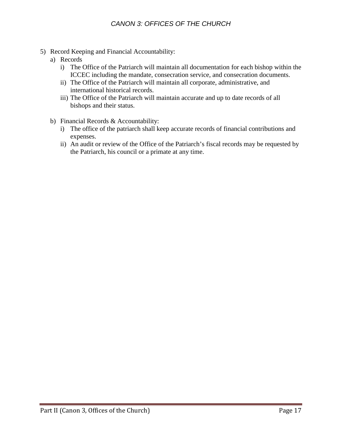- 5) Record Keeping and Financial Accountability:
	- a) Records
		- i) The Office of the Patriarch will maintain all documentation for each bishop within the ICCEC including the mandate, consecration service, and consecration documents.
		- ii) The Office of the Patriarch will maintain all corporate, administrative, and international historical records.
		- iii) The Office of the Patriarch will maintain accurate and up to date records of all bishops and their status.
	- b) Financial Records & Accountability:
		- i) The office of the patriarch shall keep accurate records of financial contributions and expenses.
		- ii) An audit or review of the Office of the Patriarch's fiscal records may be requested by the Patriarch, his council or a primate at any time.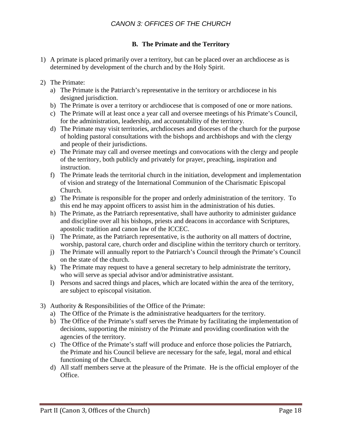#### **B. The Primate and the Territory**

- 1) A primate is placed primarily over a territory, but can be placed over an archdiocese as is determined by development of the church and by the Holy Spirit.
- 2) The Primate:
	- a) The Primate is the Patriarch's representative in the territory or archdiocese in his designed jurisdiction.
	- b) The Primate is over a territory or archdiocese that is composed of one or more nations.
	- c) The Primate will at least once a year call and oversee meetings of his Primate's Council, for the administration, leadership, and accountability of the territory.
	- d) The Primate may visit territories, archdioceses and dioceses of the church for the purpose of holding pastoral consultations with the bishops and archbishops and with the clergy and people of their jurisdictions.
	- e) The Primate may call and oversee meetings and convocations with the clergy and people of the territory, both publicly and privately for prayer, preaching, inspiration and instruction.
	- f) The Primate leads the territorial church in the initiation, development and implementation of vision and strategy of the International Communion of the Charismatic Episcopal Church.
	- g) The Primate is responsible for the proper and orderly administration of the territory. To this end he may appoint officers to assist him in the administration of his duties.
	- h) The Primate, as the Patriarch representative, shall have authority to administer guidance and discipline over all his bishops, priests and deacons in accordance with Scriptures, apostolic tradition and canon law of the ICCEC.
	- i) The Primate, as the Patriarch representative, is the authority on all matters of doctrine, worship, pastoral care, church order and discipline within the territory church or territory.
	- j) The Primate will annually report to the Patriarch's Council through the Primate's Council on the state of the church.
	- k) The Primate may request to have a general secretary to help administrate the territory, who will serve as special advisor and/or administrative assistant.
	- l) Persons and sacred things and places, which are located within the area of the territory, are subject to episcopal visitation.
- 3) Authority & Responsibilities of the Office of the Primate:
	- a) The Office of the Primate is the administrative headquarters for the territory.
	- b) The Office of the Primate's staff serves the Primate by facilitating the implementation of decisions, supporting the ministry of the Primate and providing coordination with the agencies of the territory.
	- c) The Office of the Primate's staff will produce and enforce those policies the Patriarch, the Primate and his Council believe are necessary for the safe, legal, moral and ethical functioning of the Church.
	- d) All staff members serve at the pleasure of the Primate. He is the official employer of the Office.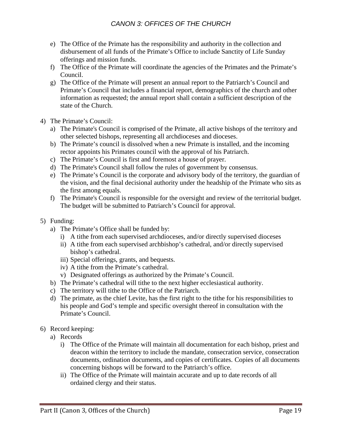- e) The Office of the Primate has the responsibility and authority in the collection and disbursement of all funds of the Primate's Office to include Sanctity of Life Sunday offerings and mission funds.
- f) The Office of the Primate will coordinate the agencies of the Primates and the Primate's Council.
- g) The Office of the Primate will present an annual report to the Patriarch's Council and Primate's Council that includes a financial report, demographics of the church and other information as requested; the annual report shall contain a sufficient description of the state of the Church.
- 4) The Primate's Council:
	- a) The Primate's Council is comprised of the Primate, all active bishops of the territory and other selected bishops, representing all archdioceses and dioceses.
	- b) The Primate's council is dissolved when a new Primate is installed, and the incoming rector appoints his Primates council with the approval of his Patriarch.
	- c) The Primate's Council is first and foremost a house of prayer.
	- d) The Primate's Council shall follow the rules of government by consensus.
	- e) The Primate's Council is the corporate and advisory body of the territory, the guardian of the vision, and the final decisional authority under the headship of the Primate who sits as the first among equals.
	- f) The Primate's Council is responsible for the oversight and review of the territorial budget. The budget will be submitted to Patriarch's Council for approval.
- 5) Funding:
	- a) The Primate's Office shall be funded by:
		- i) A tithe from each supervised archdioceses, and/or directly supervised dioceses
		- ii) A tithe from each supervised archbishop's cathedral, and/or directly supervised bishop's cathedral.
		- iii) Special offerings, grants, and bequests.
		- iv) A tithe from the Primate's cathedral.
		- v) Designated offerings as authorized by the Primate's Council.
	- b) The Primate's cathedral will tithe to the next higher ecclesiastical authority.
	- c) The territory will tithe to the Office of the Patriarch.
	- d) The primate, as the chief Levite, has the first right to the tithe for his responsibilities to his people and God's temple and specific oversight thereof in consultation with the Primate's Council.
- 6) Record keeping:
	- a) Records
		- i) The Office of the Primate will maintain all documentation for each bishop, priest and deacon within the territory to include the mandate, consecration service, consecration documents, ordination documents, and copies of certificates. Copies of all documents concerning bishops will be forward to the Patriarch's office.
		- ii) The Office of the Primate will maintain accurate and up to date records of all ordained clergy and their status.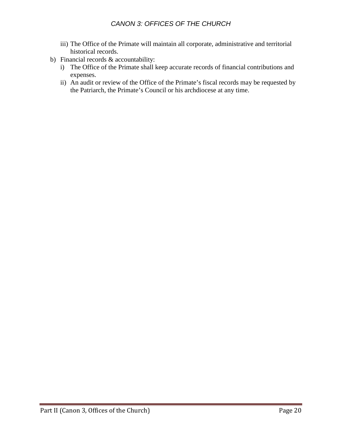- iii) The Office of the Primate will maintain all corporate, administrative and territorial historical records.
- b) Financial records & accountability:
	- i) The Office of the Primate shall keep accurate records of financial contributions and expenses.
	- ii) An audit or review of the Office of the Primate's fiscal records may be requested by the Patriarch, the Primate's Council or his archdiocese at any time.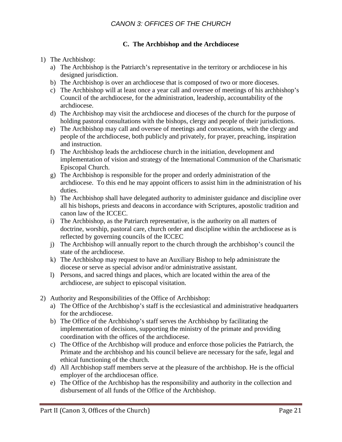#### **C. The Archbishop and the Archdiocese**

- 1) The Archbishop:
	- a) The Archbishop is the Patriarch's representative in the territory or archdiocese in his designed jurisdiction.
	- b) The Archbishop is over an archdiocese that is composed of two or more dioceses.
	- c) The Archbishop will at least once a year call and oversee of meetings of his archbishop's Council of the archdiocese, for the administration, leadership, accountability of the archdiocese.
	- d) The Archbishop may visit the archdiocese and dioceses of the church for the purpose of holding pastoral consultations with the bishops, clergy and people of their jurisdictions.
	- e) The Archbishop may call and oversee of meetings and convocations, with the clergy and people of the archdiocese, both publicly and privately, for prayer, preaching, inspiration and instruction.
	- f) The Archbishop leads the archdiocese church in the initiation, development and implementation of vision and strategy of the International Communion of the Charismatic Episcopal Church.
	- g) The Archbishop is responsible for the proper and orderly administration of the archdiocese. To this end he may appoint officers to assist him in the administration of his duties.
	- h) The Archbishop shall have delegated authority to administer guidance and discipline over all his bishops, priests and deacons in accordance with Scriptures, apostolic tradition and canon law of the ICCEC.
	- i) The Archbishop, as the Patriarch representative, is the authority on all matters of doctrine, worship, pastoral care, church order and discipline within the archdiocese as is reflected by governing councils of the ICCEC
	- j) The Archbishop will annually report to the church through the archbishop's council the state of the archdiocese.
	- k) The Archbishop may request to have an Auxiliary Bishop to help administrate the diocese or serve as special advisor and/or administrative assistant.
	- l) Persons, and sacred things and places, which are located within the area of the archdiocese, are subject to episcopal visitation.
- 2) Authority and Responsibilities of the Office of Archbishop:
	- a) The Office of the Archbishop's staff is the ecclesiastical and administrative headquarters for the archdiocese.
	- b) The Office of the Archbishop's staff serves the Archbishop by facilitating the implementation of decisions, supporting the ministry of the primate and providing coordination with the offices of the archdiocese.
	- c) The Office of the Archbishop will produce and enforce those policies the Patriarch, the Primate and the archbishop and his council believe are necessary for the safe, legal and ethical functioning of the church.
	- d) All Archbishop staff members serve at the pleasure of the archbishop. He is the official employer of the archdiocesan office.
	- e) The Office of the Archbishop has the responsibility and authority in the collection and disbursement of all funds of the Office of the Archbishop.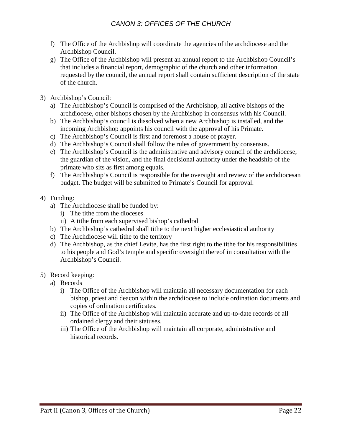- f) The Office of the Archbishop will coordinate the agencies of the archdiocese and the Archbishop Council.
- g) The Office of the Archbishop will present an annual report to the Archbishop Council's that includes a financial report, demographic of the church and other information requested by the council, the annual report shall contain sufficient description of the state of the church.
- 3) Archbishop's Council:
	- a) The Archbishop's Council is comprised of the Archbishop, all active bishops of the archdiocese, other bishops chosen by the Archbishop in consensus with his Council.
	- b) The Archbishop's council is dissolved when a new Archbishop is installed, and the incoming Archbishop appoints his council with the approval of his Primate.
	- c) The Archbishop's Council is first and foremost a house of prayer.
	- d) The Archbishop's Council shall follow the rules of government by consensus.
	- e) The Archbishop's Council is the administrative and advisory council of the archdiocese, the guardian of the vision, and the final decisional authority under the headship of the primate who sits as first among equals.
	- f) The Archbishop's Council is responsible for the oversight and review of the archdiocesan budget. The budget will be submitted to Primate's Council for approval.
- 4) Funding:
	- a) The Archdiocese shall be funded by:
		- i) The tithe from the dioceses
		- ii) A tithe from each supervised bishop's cathedral
	- b) The Archbishop's cathedral shall tithe to the next higher ecclesiastical authority
	- c) The Archdiocese will tithe to the territory
	- d) The Archbishop, as the chief Levite, has the first right to the tithe for his responsibilities to his people and God's temple and specific oversight thereof in consultation with the Archbishop's Council.
- 5) Record keeping:
	- a) Records
		- i) The Office of the Archbishop will maintain all necessary documentation for each bishop, priest and deacon within the archdiocese to include ordination documents and copies of ordination certificates.
		- ii) The Office of the Archbishop will maintain accurate and up-to-date records of all ordained clergy and their statuses.
		- iii) The Office of the Archbishop will maintain all corporate, administrative and historical records.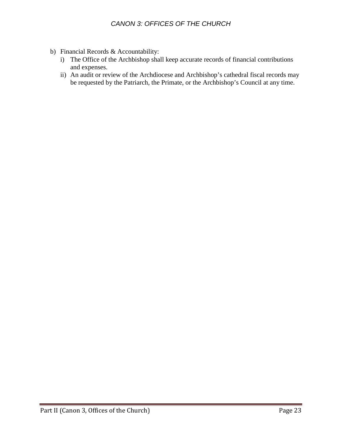- b) Financial Records & Accountability:
	- i) The Office of the Archbishop shall keep accurate records of financial contributions and expenses.
	- ii) An audit or review of the Archdiocese and Archbishop's cathedral fiscal records may be requested by the Patriarch, the Primate, or the Archbishop's Council at any time.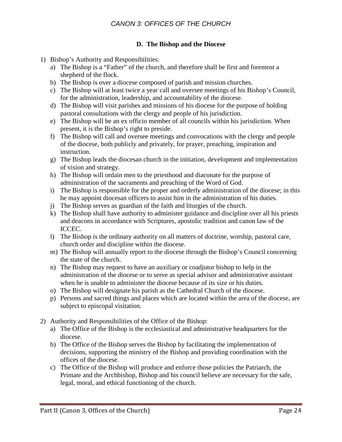#### **D. The Bishop and the Diocese**

- 1) Bishop's Authority and Responsibilities:
	- a) The Bishop is a "Father" of the church, and therefore shall be first and foremost a shepherd of the flock.
	- b) The Bishop is over a diocese composed of parish and mission churches.
	- c) The Bishop will at least twice a year call and oversee meetings of his Bishop's Council, for the administration, leadership, and accountability of the diocese.
	- d) The Bishop will visit parishes and missions of his diocese for the purpose of holding pastoral consultations with the clergy and people of his jurisdiction.
	- e) The Bishop will be an ex officio member of all councils within his jurisdiction. When present, it is the Bishop's right to preside.
	- f) The Bishop will call and oversee meetings and convocations with the clergy and people of the diocese, both publicly and privately, for prayer, preaching, inspiration and instruction.
	- g) The Bishop leads the diocesan church in the initiation, development and implementation of vision and strategy.
	- h) The Bishop will ordain men to the priesthood and diaconate for the purpose of administration of the sacraments and preaching of the Word of God.
	- i) The Bishop is responsible for the proper and orderly administration of the diocese; in this he may appoint diocesan officers to assist him in the administration of his duties.
	- j) The Bishop serves as guardian of the faith and liturgies of the church.
	- k) The Bishop shall have authority to administer guidance and discipline over all his priests and deacons in accordance with Scriptures, apostolic tradition and canon law of the ICCEC.
	- l) The Bishop is the ordinary authority on all matters of doctrine, worship, pastoral care, church order and discipline within the diocese.
	- m) The Bishop will annually report to the diocese through the Bishop's Council concerning the state of the church.
	- n) The Bishop may request to have an auxiliary or coadjutor bishop to help in the administration of the diocese or to serve as special advisor and administrative assistant when he is unable to administer the diocese because of its size or his duties.
	- o) The Bishop will designate his parish as the Cathedral Church of the diocese.
	- p) Persons and sacred things and places which are located within the area of the diocese, are subject to episcopal visitation.
- 2) Authority and Responsibilities of the Office of the Bishop:
	- a) The Office of the Bishop is the ecclesiastical and administrative headquarters for the diocese.
	- b) The Office of the Bishop serves the Bishop by facilitating the implementation of decisions, supporting the ministry of the Bishop and providing coordination with the offices of the diocese.
	- c) The Office of the Bishop will produce and enforce those policies the Patriarch, the Primate and the Archbishop, Bishop and his council believe are necessary for the safe, legal, moral, and ethical functioning of the church.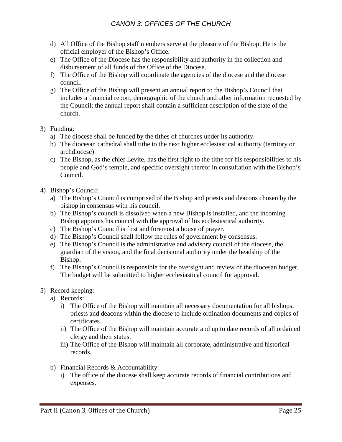- d) All Office of the Bishop staff members serve at the pleasure of the Bishop. He is the official employer of the Bishop's Office.
- e) The Office of the Diocese has the responsibility and authority in the collection and disbursement of all funds of the Office of the Diocese.
- f) The Office of the Bishop will coordinate the agencies of the diocese and the diocese council.
- g) The Office of the Bishop will present an annual report to the Bishop's Council that includes a financial report, demographic of the church and other information requested by the Council; the annual report shall contain a sufficient description of the state of the church.

#### 3) Funding:

- a) The diocese shall be funded by the tithes of churches under its authority.
- b) The diocesan cathedral shall tithe to the next higher ecclesiastical authority (territory or archdiocese)
- c) The Bishop, as the chief Levite, has the first right to the tithe for his responsibilities to his people and God's temple, and specific oversight thereof in consultation with the Bishop's Council.
- 4) Bishop's Council:
	- a) The Bishop's Council is comprised of the Bishop and priests and deacons chosen by the bishop in consensus with his council.
	- b) The Bishop's council is dissolved when a new Bishop is installed, and the incoming Bishop appoints his council with the approval of his ecclesiastical authority.
	- c) The Bishop's Council is first and foremost a house of prayer.
	- d) The Bishop's Council shall follow the rules of government by consensus.
	- e) The Bishop's Council is the administrative and advisory council of the diocese, the guardian of the vision, and the final decisional authority under the headship of the Bishop.
	- f) The Bishop's Council is responsible for the oversight and review of the diocesan budget. The budget will be submitted to higher ecclesiastical council for approval.
- 5) Record keeping:
	- a) Records:
		- i) The Office of the Bishop will maintain all necessary documentation for all bishops, priests and deacons within the diocese to include ordination documents and copies of certificates.
		- ii) The Office of the Bishop will maintain accurate and up to date records of all ordained clergy and their status.
		- iii) The Office of the Bishop will maintain all corporate, administrative and historical records.
	- b) Financial Records & Accountability:
		- i) The office of the diocese shall keep accurate records of financial contributions and expenses.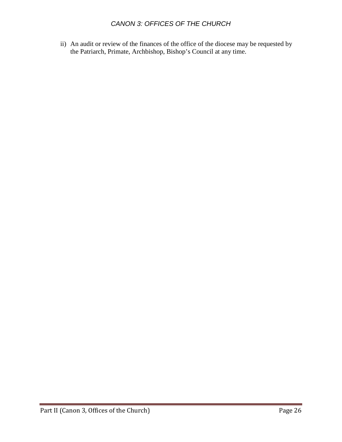ii) An audit or review of the finances of the office of the diocese may be requested by the Patriarch, Primate, Archbishop, Bishop's Council at any time.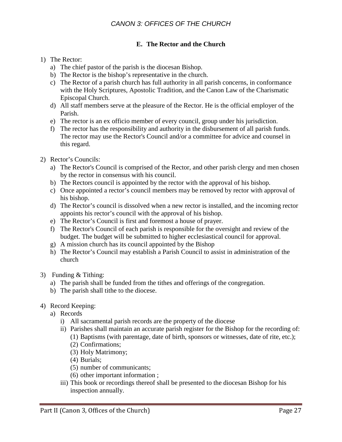#### **E. The Rector and the Church**

#### 1) The Rector:

- a) The chief pastor of the parish is the diocesan Bishop.
- b) The Rector is the bishop's representative in the church.
- c) The Rector of a parish church has full authority in all parish concerns, in conformance with the Holy Scriptures, Apostolic Tradition, and the Canon Law of the Charismatic Episcopal Church.
- d) All staff members serve at the pleasure of the Rector. He is the official employer of the Parish.
- e) The rector is an ex officio member of every council, group under his jurisdiction.
- f) The rector has the responsibility and authority in the disbursement of all parish funds. The rector may use the Rector's Council and/or a committee for advice and counsel in this regard.
- 2) Rector's Councils:
	- a) The Rector's Council is comprised of the Rector, and other parish clergy and men chosen by the rector in consensus with his council.
	- b) The Rectors council is appointed by the rector with the approval of his bishop.
	- c) Once appointed a rector's council members may be removed by rector with approval of his bishop.
	- d) The Rector's council is dissolved when a new rector is installed, and the incoming rector appoints his rector's council with the approval of his bishop.
	- e) The Rector's Council is first and foremost a house of prayer.
	- f) The Rector's Council of each parish is responsible for the oversight and review of the budget. The budget will be submitted to higher ecclesiastical council for approval.
	- g) A mission church has its council appointed by the Bishop
	- h) The Rector's Council may establish a Parish Council to assist in administration of the church
- 3) Funding & Tithing:
	- a) The parish shall be funded from the tithes and offerings of the congregation.
	- b) The parish shall tithe to the diocese.
- 4) Record Keeping:
	- a) Records
		- i) All sacramental parish records are the property of the diocese
		- ii) Parishes shall maintain an accurate parish register for the Bishop for the recording of:
			- (1) Baptisms (with parentage, date of birth, sponsors or witnesses, date of rite, etc.);
			- (2) Confirmations;
			- (3) Holy Matrimony;
			- (4) Burials;
			- (5) number of communicants;
			- (6) other important information ;
		- iii) This book or recordings thereof shall be presented to the diocesan Bishop for his inspection annually.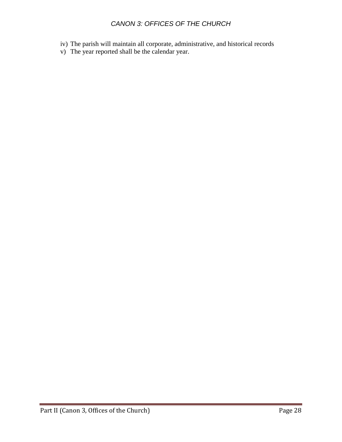- iv) The parish will maintain all corporate, administrative, and historical records
- v) The year reported shall be the calendar year.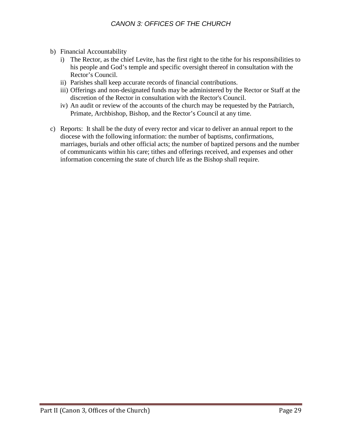- b) Financial Accountability
	- i) The Rector, as the chief Levite, has the first right to the tithe for his responsibilities to his people and God's temple and specific oversight thereof in consultation with the Rector's Council.
	- ii) Parishes shall keep accurate records of financial contributions.
	- iii) Offerings and non-designated funds may be administered by the Rector or Staff at the discretion of the Rector in consultation with the Rector's Council.
	- iv) An audit or review of the accounts of the church may be requested by the Patriarch, Primate, Archbishop, Bishop, and the Rector's Council at any time.
- c) Reports: It shall be the duty of every rector and vicar to deliver an annual report to the diocese with the following information: the number of baptisms, confirmations, marriages, burials and other official acts; the number of baptized persons and the number of communicants within his care; tithes and offerings received, and expenses and other information concerning the state of church life as the Bishop shall require.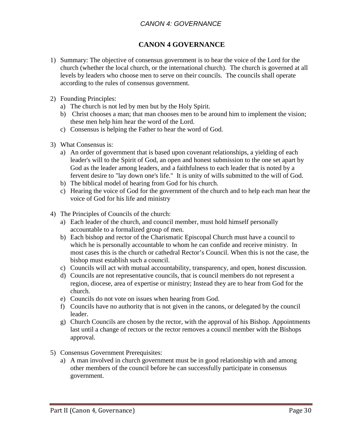#### *CANON 4: GOVERNANCE*

#### **CANON 4 GOVERNANCE**

- 1) Summary: The objective of consensus government is to hear the voice of the Lord for the church (whether the local church, or the international church). The church is governed at all levels by leaders who choose men to serve on their councils. The councils shall operate according to the rules of consensus government.
- 2) Founding Principles:
	- a) The church is not led by men but by the Holy Spirit.
	- b) Christ chooses a man; that man chooses men to be around him to implement the vision; these men help him hear the word of the Lord.
	- c) Consensus is helping the Father to hear the word of God.
- 3) What Consensus is:
	- a) An order of government that is based upon covenant relationships, a yielding of each leader's will to the Spirit of God, an open and honest submission to the one set apart by God as the leader among leaders, and a faithfulness to each leader that is noted by a fervent desire to "lay down one's life." It is unity of wills submitted to the will of God.
	- b) The biblical model of hearing from God for his church.
	- c) Hearing the voice of God for the government of the church and to help each man hear the voice of God for his life and ministry
- 4) The Principles of Councils of the church:
	- a) Each leader of the church, and council member, must hold himself personally accountable to a formalized group of men.
	- b) Each bishop and rector of the Charismatic Episcopal Church must have a council to which he is personally accountable to whom he can confide and receive ministry. In most cases this is the church or cathedral Rector's Council. When this is not the case, the bishop must establish such a council.
	- c) Councils will act with mutual accountability, transparency, and open, honest discussion.
	- d) Councils are not representative councils, that is council members do not represent a region, diocese, area of expertise or ministry; Instead they are to hear from God for the church.
	- e) Councils do not vote on issues when hearing from God.
	- f) Councils have no authority that is not given in the canons, or delegated by the council leader.
	- g) Church Councils are chosen by the rector, with the approval of his Bishop. Appointments last until a change of rectors or the rector removes a council member with the Bishops approval.
- 5) Consensus Government Prerequisites:
	- a) A man involved in church government must be in good relationship with and among other members of the council before he can successfully participate in consensus government.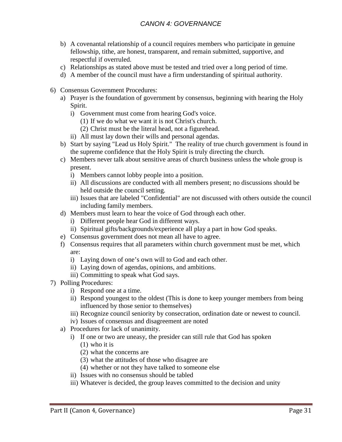- b) A covenantal relationship of a council requires members who participate in genuine fellowship, tithe, are honest, transparent, and remain submitted, supportive, and respectful if overruled.
- c) Relationships as stated above must be tested and tried over a long period of time.
- d) A member of the council must have a firm understanding of spiritual authority.
- 6) Consensus Government Procedures:
	- a) Prayer is the foundation of government by consensus, beginning with hearing the Holy Spirit.
		- i) Government must come from hearing God's voice.
			- (1) If we do what we want it is not Christ's church.
			- (2) Christ must be the literal head, not a figurehead.
		- ii) All must lay down their wills and personal agendas.
	- b) Start by saying "Lead us Holy Spirit." The reality of true church government is found in the supreme confidence that the Holy Spirit is truly directing the church.
	- c) Members never talk about sensitive areas of church business unless the whole group is present.
		- i) Members cannot lobby people into a position.
		- ii) All discussions are conducted with all members present; no discussions should be held outside the council setting.
		- iii) Issues that are labeled "Confidential" are not discussed with others outside the council including family members.
	- d) Members must learn to hear the voice of God through each other.
		- i) Different people hear God in different ways.
		- ii) Spiritual gifts/backgrounds/experience all play a part in how God speaks.
	- e) Consensus government does not mean all have to agree.
	- f) Consensus requires that all parameters within church government must be met, which are:
		- i) Laying down of one's own will to God and each other.
		- ii) Laying down of agendas, opinions, and ambitions.
		- iii) Committing to speak what God says.
- 7) Polling Procedures:
	- i) Respond one at a time.
	- ii) Respond youngest to the oldest (This is done to keep younger members from being influenced by those senior to themselves)
	- iii) Recognize council seniority by consecration, ordination date or newest to council.
	- iv) Issues of consensus and disagreement are noted
	- a) Procedures for lack of unanimity.
		- i) If one or two are uneasy, the presider can still rule that God has spoken (1) who it is
			- (2) what the concerns are
			- (3) what the attitudes of those who disagree are
			- (4) whether or not they have talked to someone else
		- ii) Issues with no consensus should be tabled
		- iii) Whatever is decided, the group leaves committed to the decision and unity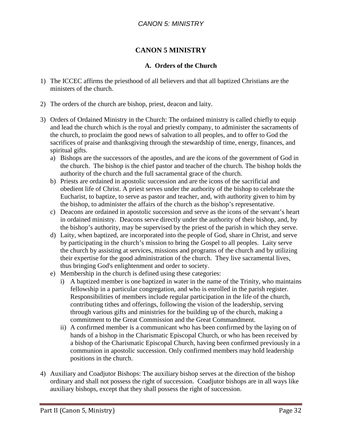#### **A. Orders of the Church**

- 1) The ICCEC affirms the priesthood of all believers and that all baptized Christians are the ministers of the church.
- 2) The orders of the church are bishop, priest, deacon and laity.
- 3) Orders of Ordained Ministry in the Church: The ordained ministry is called chiefly to equip and lead the church which is the royal and priestly company, to administer the sacraments of the church, to proclaim the good news of salvation to all peoples, and to offer to God the sacrifices of praise and thanksgiving through the stewardship of time, energy, finances, and spiritual gifts.
	- a) Bishops are the successors of the apostles, and are the icons of the government of God in the church. The bishop is the chief pastor and teacher of the church. The bishop holds the authority of the church and the full sacramental grace of the church.
	- b) Priests are ordained in apostolic succession and are the icons of the sacrificial and obedient life of Christ. A priest serves under the authority of the bishop to celebrate the Eucharist, to baptize, to serve as pastor and teacher, and, with authority given to him by the bishop, to administer the affairs of the church as the bishop's representative.
	- c) Deacons are ordained in apostolic succession and serve as the icons of the servant's heart in ordained ministry. Deacons serve directly under the authority of their bishop, and, by the bishop's authority, may be supervised by the priest of the parish in which they serve.
	- d) Laity, when baptized, are incorporated into the people of God, share in Christ, and serve by participating in the church's mission to bring the Gospel to all peoples. Laity serve the church by assisting at services, missions and programs of the church and by utilizing their expertise for the good administration of the church. They live sacramental lives, thus bringing God's enlightenment and order to society.
	- e) Membership in the church is defined using these categories:
		- i) A baptized member is one baptized in water in the name of the Trinity, who maintains fellowship in a particular congregation, and who is enrolled in the parish register. Responsibilities of members include regular participation in the life of the church, contributing tithes and offerings, following the vision of the leadership, serving through various gifts and ministries for the building up of the church, making a commitment to the Great Commission and the Great Commandment.
		- ii) A confirmed member is a communicant who has been confirmed by the laying on of hands of a bishop in the Charismatic Episcopal Church, or who has been received by a bishop of the Charismatic Episcopal Church, having been confirmed previously in a communion in apostolic succession. Only confirmed members may hold leadership positions in the church.
- 4) Auxiliary and Coadjutor Bishops: The auxiliary bishop serves at the direction of the bishop ordinary and shall not possess the right of succession. Coadjutor bishops are in all ways like auxiliary bishops, except that they shall possess the right of succession.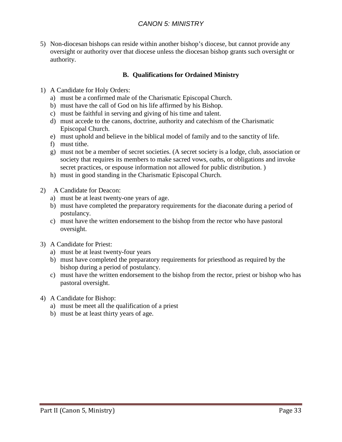5) Non-diocesan bishops can reside within another bishop's diocese, but cannot provide any oversight or authority over that diocese unless the diocesan bishop grants such oversight or authority.

#### **B. Qualifications for Ordained Ministry**

- 1) A Candidate for Holy Orders:
	- a) must be a confirmed male of the Charismatic Episcopal Church.
	- b) must have the call of God on his life affirmed by his Bishop.
	- c) must be faithful in serving and giving of his time and talent.
	- d) must accede to the canons, doctrine, authority and catechism of the Charismatic Episcopal Church.
	- e) must uphold and believe in the biblical model of family and to the sanctity of life.
	- f) must tithe.
	- g) must not be a member of secret societies. (A secret society is a lodge, club, association or society that requires its members to make sacred vows, oaths, or obligations and invoke secret practices, or espouse information not allowed for public distribution. )
	- h) must in good standing in the Charismatic Episcopal Church.
- 2) A Candidate for Deacon:
	- a) must be at least twenty-one years of age.
	- b) must have completed the preparatory requirements for the diaconate during a period of postulancy.
	- c) must have the written endorsement to the bishop from the rector who have pastoral oversight.
- 3) A Candidate for Priest:
	- a) must be at least twenty-four years
	- b) must have completed the preparatory requirements for priesthood as required by the bishop during a period of postulancy.
	- c) must have the written endorsement to the bishop from the rector, priest or bishop who has pastoral oversight.
- 4) A Candidate for Bishop:
	- a) must be meet all the qualification of a priest
	- b) must be at least thirty years of age.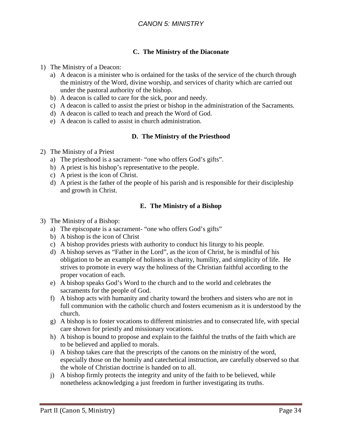#### **C. The Ministry of the Diaconate**

- 1) The Ministry of a Deacon:
	- a) A deacon is a minister who is ordained for the tasks of the service of the church through the ministry of the Word, divine worship, and services of charity which are carried out under the pastoral authority of the bishop.
	- b) A deacon is called to care for the sick, poor and needy.
	- c) A deacon is called to assist the priest or bishop in the administration of the Sacraments.
	- d) A deacon is called to teach and preach the Word of God.
	- e) A deacon is called to assist in church administration.

#### **D. The Ministry of the Priesthood**

- 2) The Ministry of a Priest
	- a) The priesthood is a sacrament- "one who offers God's gifts".
	- b) A priest is his bishop's representative to the people.
	- c) A priest is the icon of Christ.
	- d) A priest is the father of the people of his parish and is responsible for their discipleship and growth in Christ.

#### **E. The Ministry of a Bishop**

- 3) The Ministry of a Bishop:
	- a) The episcopate is a sacrament- "one who offers God's gifts"
	- b) A bishop is the icon of Christ
	- c) A bishop provides priests with authority to conduct his liturgy to his people.
	- d) A bishop serves as "Father in the Lord", as the icon of Christ, he is mindful of his obligation to be an example of holiness in charity, humility, and simplicity of life. He strives to promote in every way the holiness of the Christian faithful according to the proper vocation of each.
	- e) A bishop speaks God's Word to the church and to the world and celebrates the sacraments for the people of God.
	- f) A bishop acts with humanity and charity toward the brothers and sisters who are not in full communion with the catholic church and fosters ecumenism as it is understood by the church.
	- g) A bishop is to foster vocations to different ministries and to consecrated life, with special care shown for priestly and missionary vocations.
	- h) A bishop is bound to propose and explain to the faithful the truths of the faith which are to be believed and applied to morals.
	- i) A bishop takes care that the prescripts of the canons on the ministry of the word, especially those on the homily and catechetical instruction, are carefully observed so that the whole of Christian doctrine is handed on to all.
	- j) A bishop firmly protects the integrity and unity of the faith to be believed, while nonetheless acknowledging a just freedom in further investigating its truths.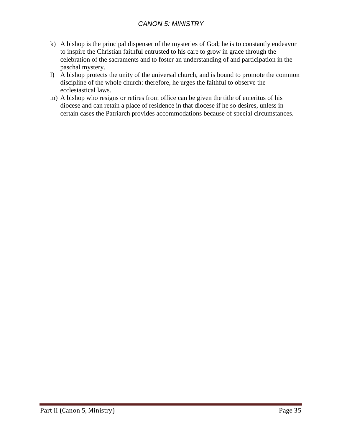- k) A bishop is the principal dispenser of the mysteries of God; he is to constantly endeavor to inspire the Christian faithful entrusted to his care to grow in grace through the celebration of the sacraments and to foster an understanding of and participation in the paschal mystery.
- l) A bishop protects the unity of the universal church, and is bound to promote the common discipline of the whole church: therefore, he urges the faithful to observe the ecclesiastical laws.
- m) A bishop who resigns or retires from office can be given the title of emeritus of his diocese and can retain a place of residence in that diocese if he so desires, unless in certain cases the Patriarch provides accommodations because of special circumstances.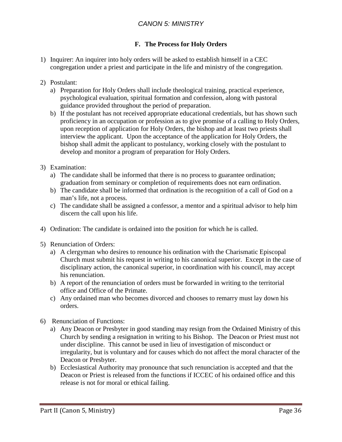#### **F. The Process for Holy Orders**

- 1) Inquirer: An inquirer into holy orders will be asked to establish himself in a CEC congregation under a priest and participate in the life and ministry of the congregation.
- 2) Postulant:
	- a) Preparation for Holy Orders shall include theological training, practical experience, psychological evaluation, spiritual formation and confession, along with pastoral guidance provided throughout the period of preparation.
	- b) If the postulant has not received appropriate educational credentials, but has shown such proficiency in an occupation or profession as to give promise of a calling to Holy Orders, upon reception of application for Holy Orders, the bishop and at least two priests shall interview the applicant. Upon the acceptance of the application for Holy Orders, the bishop shall admit the applicant to postulancy, working closely with the postulant to develop and monitor a program of preparation for Holy Orders.
- 3) Examination:
	- a) The candidate shall be informed that there is no process to guarantee ordination; graduation from seminary or completion of requirements does not earn ordination.
	- b) The candidate shall be informed that ordination is the recognition of a call of God on a man's life, not a process.
	- c) The candidate shall be assigned a confessor, a mentor and a spiritual advisor to help him discern the call upon his life.
- 4) Ordination: The candidate is ordained into the position for which he is called.
- 5) Renunciation of Orders:
	- a) A clergyman who desires to renounce his ordination with the Charismatic Episcopal Church must submit his request in writing to his canonical superior. Except in the case of disciplinary action, the canonical superior, in coordination with his council, may accept his renunciation.
	- b) A report of the renunciation of orders must be forwarded in writing to the territorial office and Office of the Primate.
	- c) Any ordained man who becomes divorced and chooses to remarry must lay down his orders.
- 6) Renunciation of Functions:
	- a) Any Deacon or Presbyter in good standing may resign from the Ordained Ministry of this Church by sending a resignation in writing to his Bishop. The Deacon or Priest must not under discipline. This cannot be used in lieu of investigation of misconduct or irregularity, but is voluntary and for causes which do not affect the moral character of the Deacon or Presbyter.
	- b) Ecclesiastical Authority may pronounce that such renunciation is accepted and that the Deacon or Priest is released from the functions if ICCEC of his ordained office and this release is not for moral or ethical failing.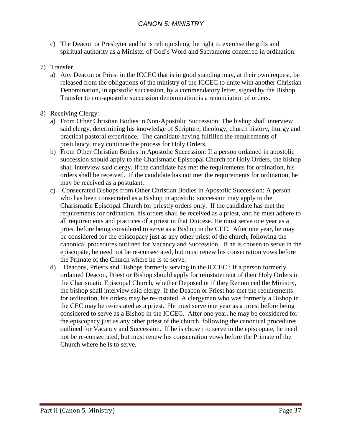- c) The Deacon or Presbyter and he is relinquishing the right to exercise the gifts and spiritual authority as a Minister of God's Word and Sacraments conferred in ordination.
- 7) Transfer
	- a) Any Deacon or Priest in the ICCEC that is in good standing may, at their own request, be released from the obligations of the ministry of the ICCEC to unite with another Christian Denomination, in apostolic succession, by a commendatory letter, signed by the Bishop. Transfer to non-apostolic succession denomination is a renunciation of orders.
- 8) Receiving Clergy:
	- a) From Other Christian Bodies in Non-Apostolic Succession: The bishop shall interview said clergy, determining his knowledge of Scripture, theology, church history, liturgy and practical pastoral experience. The candidate having fulfilled the requirements of postulancy, may continue the process for Holy Orders.
	- b) From Other Christian Bodies in Apostolic Succession: If a person ordained in apostolic succession should apply to the Charismatic Episcopal Church for Holy Orders, the bishop shall interview said clergy. If the candidate has met the requirements for ordination, his orders shall be received. If the candidate has not met the requirements for ordination, he may be received as a postulant.
	- c) Consecrated Bishops from Other Christian Bodies in Apostolic Succession: A person who has been consecrated as a Bishop in apostolic succession may apply to the Charismatic Episcopal Church for priestly orders only. If the candidate has met the requirements for ordination, his orders shall be received as a priest, and he must adhere to all requirements and practices of a priest in that Diocese. He must serve one year as a priest before being considered to serve as a Bishop in the CEC. After one year, he may be considered for the episcopacy just as any other priest of the church, following the canonical procedures outlined for Vacancy and Succession. If he is chosen to serve in the episcopate, he need not be re-consecrated, but must renew his consecration vows before the Primate of the Church where he is to serve.
	- d) Deacons, Priests and Bishops formerly serving in the ICCEC : If a person formerly ordained Deacon, Priest or Bishop should apply for reinstatement of their Holy Orders in the Charismatic Episcopal Church, whether Deposed or if they Renounced the Ministry, the bishop shall interview said clergy. If the Deacon or Priest has met the requirements for ordination, his orders may be re-instated. A clergyman who was formerly a Bishop in the CEC may be re-instated as a priest. He must serve one year as a priest before being considered to serve as a Bishop in the ICCEC. After one year, he may be considered for the episcopacy just as any other priest of the church, following the canonical procedures outlined for Vacancy and Succession. If he is chosen to serve in the episcopate, he need not be re-consecrated, but must renew his consecration vows before the Primate of the Church where he is to serve.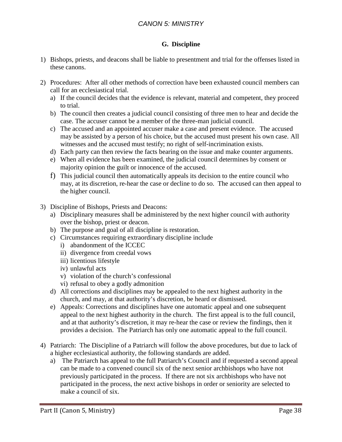#### **G. Discipline**

- 1) Bishops, priests, and deacons shall be liable to presentment and trial for the offenses listed in these canons.
- 2) Procedures: After all other methods of correction have been exhausted council members can call for an ecclesiastical trial.
	- a) If the council decides that the evidence is relevant, material and competent, they proceed to trial.
	- b) The council then creates a judicial council consisting of three men to hear and decide the case. The accuser cannot be a member of the three-man judicial council.
	- c) The accused and an appointed accuser make a case and present evidence. The accused may be assisted by a person of his choice, but the accused must present his own case. All witnesses and the accused must testify; no right of self-incrimination exists.
	- d) Each party can then review the facts bearing on the issue and make counter arguments.
	- e) When all evidence has been examined, the judicial council determines by consent or majority opinion the guilt or innocence of the accused.
	- f) This judicial council then automatically appeals its decision to the entire council who may, at its discretion, re-hear the case or decline to do so. The accused can then appeal to the higher council.
- 3) Discipline of Bishops, Priests and Deacons:
	- a) Disciplinary measures shall be administered by the next higher council with authority over the bishop, priest or deacon.
	- b) The purpose and goal of all discipline is restoration.
	- c) Circumstances requiring extraordinary discipline include
		- i) abandonment of the ICCEC
		- ii) divergence from creedal vows
		- iii) licentious lifestyle
		- iv) unlawful acts
		- v) violation of the church's confessional
		- vi) refusal to obey a godly admonition
	- d) All corrections and disciplines may be appealed to the next highest authority in the church, and may, at that authority's discretion, be heard or dismissed.
	- e) Appeals: Corrections and disciplines have one automatic appeal and one subsequent appeal to the next highest authority in the church. The first appeal is to the full council, and at that authority's discretion, it may re-hear the case or review the findings, then it provides a decision. The Patriarch has only one automatic appeal to the full council.
- 4) Patriarch: The Discipline of a Patriarch will follow the above procedures, but due to lack of a higher ecclesiastical authority, the following standards are added.
	- a) The Patriarch has appeal to the full Patriarch's Council and if requested a second appeal can be made to a convened council six of the next senior archbishops who have not previously participated in the process. If there are not six archbishops who have not participated in the process, the next active bishops in order or seniority are selected to make a council of six.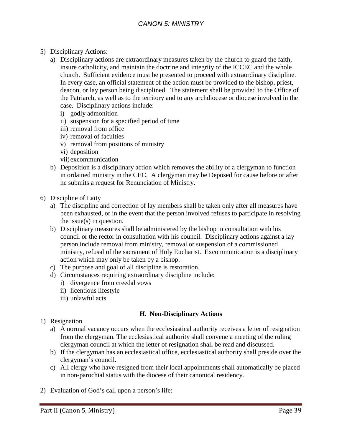- 5) Disciplinary Actions:
	- a) Disciplinary actions are extraordinary measures taken by the church to guard the faith, insure catholicity, and maintain the doctrine and integrity of the ICCEC and the whole church. Sufficient evidence must be presented to proceed with extraordinary discipline. In every case, an official statement of the action must be provided to the bishop, priest, deacon, or lay person being disciplined. The statement shall be provided to the Office of the Patriarch, as well as to the territory and to any archdiocese or diocese involved in the case. Disciplinary actions include:
		- i) godly admonition
		- ii) suspension for a specified period of time
		- iii) removal from office
		- iv) removal of faculties
		- v) removal from positions of ministry
		- vi) deposition
		- vii)excommunication
	- b) Deposition is a disciplinary action which removes the ability of a clergyman to function in ordained ministry in the CEC. A clergyman may be Deposed for cause before or after he submits a request for Renunciation of Ministry.
- 6) Discipline of Laity
	- a) The discipline and correction of lay members shall be taken only after all measures have been exhausted, or in the event that the person involved refuses to participate in resolving the issue(s) in question.
	- b) Disciplinary measures shall be administered by the bishop in consultation with his council or the rector in consultation with his council. Disciplinary actions against a lay person include removal from ministry, removal or suspension of a commissioned ministry, refusal of the sacrament of Holy Eucharist. Excommunication is a disciplinary action which may only be taken by a bishop.
	- c) The purpose and goal of all discipline is restoration.
	- d) Circumstances requiring extraordinary discipline include:
		- i) divergence from creedal vows
		- ii) licentious lifestyle
		- iii) unlawful acts

#### **H. Non-Disciplinary Actions**

- 1) Resignation
	- a) A normal vacancy occurs when the ecclesiastical authority receives a letter of resignation from the clergyman. The ecclesiastical authority shall convene a meeting of the ruling clergyman council at which the letter of resignation shall be read and discussed.
	- b) If the clergyman has an ecclesiastical office, ecclesiastical authority shall preside over the clergyman's council.
	- c) All clergy who have resigned from their local appointments shall automatically be placed in non-parochial status with the diocese of their canonical residency.
- 2) Evaluation of God's call upon a person's life: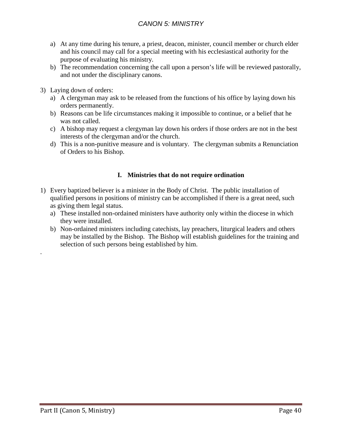- a) At any time during his tenure, a priest, deacon, minister, council member or church elder and his council may call for a special meeting with his ecclesiastical authority for the purpose of evaluating his ministry.
- b) The recommendation concerning the call upon a person's life will be reviewed pastorally, and not under the disciplinary canons.
- 3) Laying down of orders:
	- a) A clergyman may ask to be released from the functions of his office by laying down his orders permanently.
	- b) Reasons can be life circumstances making it impossible to continue, or a belief that he was not called.
	- c) A bishop may request a clergyman lay down his orders if those orders are not in the best interests of the clergyman and/or the church.
	- d) This is a non-punitive measure and is voluntary. The clergyman submits a Renunciation of Orders to his Bishop.

#### **I. Ministries that do not require ordination**

- 1) Every baptized believer is a minister in the Body of Christ. The public installation of qualified persons in positions of ministry can be accomplished if there is a great need, such as giving them legal status.
	- a) These installed non-ordained ministers have authority only within the diocese in which they were installed.
	- b) Non-ordained ministers including catechists, lay preachers, liturgical leaders and others may be installed by the Bishop. The Bishop will establish guidelines for the training and selection of such persons being established by him.

.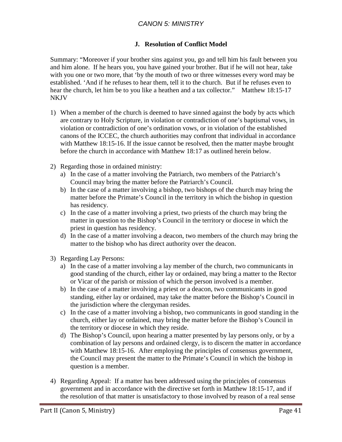#### **J. Resolution of Conflict Model**

Summary: "Moreover if your brother sins against you, go and tell him his fault between you and him alone. If he hears you, you have gained your brother. But if he will not hear, take with you one or two more, that 'by the mouth of two or three witnesses every word may be established. 'And if he refuses to hear them, tell it to the church. But if he refuses even to hear the church, let him be to you like a heathen and a tax collector." Matthew 18:15-17 NKJV

- 1) When a member of the church is deemed to have sinned against the body by acts which are contrary to Holy Scripture, in violation or contradiction of one's baptismal vows, in violation or contradiction of one's ordination vows, or in violation of the established canons of the ICCEC, the church authorities may confront that individual in accordance with Matthew 18:15-16. If the issue cannot be resolved, then the matter maybe brought before the church in accordance with Matthew 18:17 as outlined herein below.
- 2) Regarding those in ordained ministry:
	- a) In the case of a matter involving the Patriarch, two members of the Patriarch's Council may bring the matter before the Patriarch's Council.
	- b) In the case of a matter involving a bishop, two bishops of the church may bring the matter before the Primate's Council in the territory in which the bishop in question has residency.
	- c) In the case of a matter involving a priest, two priests of the church may bring the matter in question to the Bishop's Council in the territory or diocese in which the priest in question has residency.
	- d) In the case of a matter involving a deacon, two members of the church may bring the matter to the bishop who has direct authority over the deacon.
- 3) Regarding Lay Persons:
	- a) In the case of a matter involving a lay member of the church, two communicants in good standing of the church, either lay or ordained, may bring a matter to the Rector or Vicar of the parish or mission of which the person involved is a member.
	- b) In the case of a matter involving a priest or a deacon, two communicants in good standing, either lay or ordained, may take the matter before the Bishop's Council in the jurisdiction where the clergyman resides.
	- c) In the case of a matter involving a bishop, two communicants in good standing in the church, either lay or ordained, may bring the matter before the Bishop's Council in the territory or diocese in which they reside.
	- d) The Bishop's Council, upon hearing a matter presented by lay persons only, or by a combination of lay persons and ordained clergy, is to discern the matter in accordance with Matthew 18:15-16. After employing the principles of consensus government, the Council may present the matter to the Primate's Council in which the bishop in question is a member.
- 4) Regarding Appeal: If a matter has been addressed using the principles of consensus government and in accordance with the directive set forth in Matthew 18:15-17, and if the resolution of that matter is unsatisfactory to those involved by reason of a real sense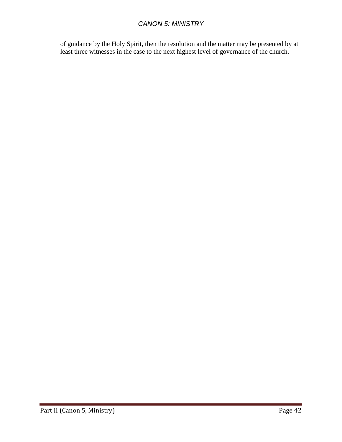of guidance by the Holy Spirit, then the resolution and the matter may be presented by at least three witnesses in the case to the next highest level of governance of the church.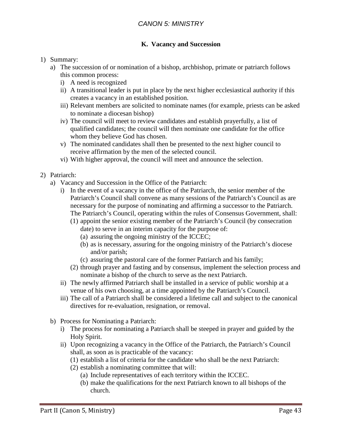#### **K. Vacancy and Succession**

#### 1) Summary:

- a) The succession of or nomination of a bishop, archbishop, primate or patriarch follows this common process:
	- i) A need is recognized
	- ii) A transitional leader is put in place by the next higher ecclesiastical authority if this creates a vacancy in an established position.
	- iii) Relevant members are solicited to nominate names (for example, priests can be asked to nominate a diocesan bishop)
	- iv) The council will meet to review candidates and establish prayerfully, a list of qualified candidates; the council will then nominate one candidate for the office whom they believe God has chosen.
	- v) The nominated candidates shall then be presented to the next higher council to receive affirmation by the men of the selected council.
	- vi) With higher approval, the council will meet and announce the selection.
- 2) Patriarch:
	- a) Vacancy and Succession in the Office of the Patriarch:
		- i) In the event of a vacancy in the office of the Patriarch, the senior member of the Patriarch's Council shall convene as many sessions of the Patriarch's Council as are necessary for the purpose of nominating and affirming a successor to the Patriarch. The Patriarch's Council, operating within the rules of Consensus Government, shall:
			- (1) appoint the senior existing member of the Patriarch's Council (by consecration date) to serve in an interim capacity for the purpose of:
				- (a) assuring the ongoing ministry of the ICCEC;
				- (b) as is necessary, assuring for the ongoing ministry of the Patriarch's diocese and/or parish;
				- (c) assuring the pastoral care of the former Patriarch and his family;
			- (2) through prayer and fasting and by consensus, implement the selection process and nominate a bishop of the church to serve as the next Patriarch.
		- ii) The newly affirmed Patriarch shall be installed in a service of public worship at a venue of his own choosing, at a time appointed by the Patriarch's Council.
		- iii) The call of a Patriarch shall be considered a lifetime call and subject to the canonical directives for re-evaluation, resignation, or removal.
	- b) Process for Nominating a Patriarch:
		- i) The process for nominating a Patriarch shall be steeped in prayer and guided by the Holy Spirit.
		- ii) Upon recognizing a vacancy in the Office of the Patriarch, the Patriarch's Council shall, as soon as is practicable of the vacancy:
			- (1) establish a list of criteria for the candidate who shall be the next Patriarch:
			- (2) establish a nominating committee that will:
				- (a) Include representatives of each territory within the ICCEC.
				- (b) make the qualifications for the next Patriarch known to all bishops of the church.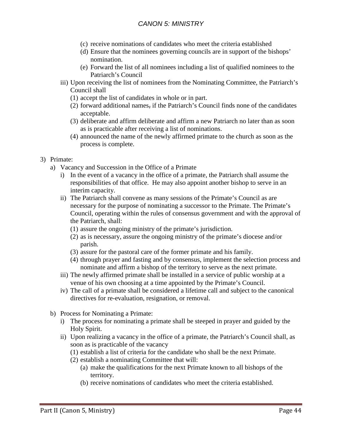- (c) receive nominations of candidates who meet the criteria established
- (d) Ensure that the nominees governing councils are in support of the bishops' nomination.
- (e) Forward the list of all nominees including a list of qualified nominees to the Patriarch's Council
- iii) Upon receiving the list of nominees from the Nominating Committee, the Patriarch's Council shall
	- (1) accept the list of candidates in whole or in part.
	- $(2)$  forward additional names, if the Patriarch's Council finds none of the candidates acceptable.
	- (3) deliberate and affirm deliberate and affirm a new Patriarch no later than as soon as is practicable after receiving a list of nominations.
	- (4) announced the name of the newly affirmed primate to the church as soon as the process is complete.
- 3) Primate:
	- a) Vacancy and Succession in the Office of a Primate
		- i) In the event of a vacancy in the office of a primate, the Patriarch shall assume the responsibilities of that office. He may also appoint another bishop to serve in an interim capacity.
		- ii) The Patriarch shall convene as many sessions of the Primate's Council as are necessary for the purpose of nominating a successor to the Primate. The Primate's Council, operating within the rules of consensus government and with the approval of the Patriarch, shall:
			- (1) assure the ongoing ministry of the primate's jurisdiction.
			- (2) as is necessary, assure the ongoing ministry of the primate's diocese and/or parish.
			- (3) assure for the pastoral care of the former primate and his family.
			- (4) through prayer and fasting and by consensus, implement the selection process and nominate and affirm a bishop of the territory to serve as the next primate.
		- iii) The newly affirmed primate shall be installed in a service of public worship at a venue of his own choosing at a time appointed by the Primate's Council.
		- iv) The call of a primate shall be considered a lifetime call and subject to the canonical directives for re-evaluation, resignation, or removal.
	- b) Process for Nominating a Primate:
		- i) The process for nominating a primate shall be steeped in prayer and guided by the Holy Spirit.
		- ii) Upon realizing a vacancy in the office of a primate, the Patriarch's Council shall, as soon as is practicable of the vacancy
			- (1) establish a list of criteria for the candidate who shall be the next Primate.
			- (2) establish a nominating Committee that will:
				- (a) make the qualifications for the next Primate known to all bishops of the territory.
				- (b) receive nominations of candidates who meet the criteria established.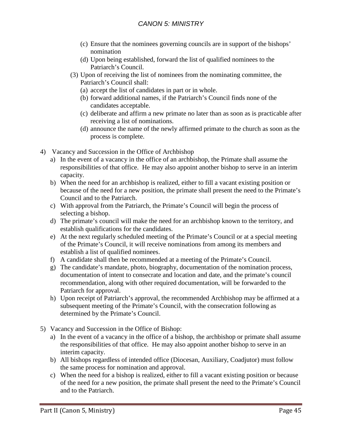- (c) Ensure that the nominees governing councils are in support of the bishops' nomination
- (d) Upon being established, forward the list of qualified nominees to the Patriarch's Council.
- (3) Upon of receiving the list of nominees from the nominating committee, the Patriarch's Council shall:
	- (a) accept the list of candidates in part or in whole.
	- (b) forward additional names, if the Patriarch's Council finds none of the candidates acceptable.
	- (c) deliberate and affirm a new primate no later than as soon as is practicable after receiving a list of nominations.
	- (d) announce the name of the newly affirmed primate to the church as soon as the process is complete.
- 4) Vacancy and Succession in the Office of Archbishop
	- a) In the event of a vacancy in the office of an archbishop, the Primate shall assume the responsibilities of that office. He may also appoint another bishop to serve in an interim capacity.
	- b) When the need for an archbishop is realized, either to fill a vacant existing position or because of the need for a new position, the primate shall present the need to the Primate's Council and to the Patriarch.
	- c) With approval from the Patriarch, the Primate's Council will begin the process of selecting a bishop.
	- d) The primate's council will make the need for an archbishop known to the territory, and establish qualifications for the candidates.
	- e) At the next regularly scheduled meeting of the Primate's Council or at a special meeting of the Primate's Council, it will receive nominations from among its members and establish a list of qualified nominees.
	- f) A candidate shall then be recommended at a meeting of the Primate's Council.
	- g) The candidate's mandate, photo, biography, documentation of the nomination process, documentation of intent to consecrate and location and date, and the primate's council recommendation, along with other required documentation, will be forwarded to the Patriarch for approval.
	- h) Upon receipt of Patriarch's approval, the recommended Archbishop may be affirmed at a subsequent meeting of the Primate's Council, with the consecration following as determined by the Primate's Council.
- 5) Vacancy and Succession in the Office of Bishop:
	- a) In the event of a vacancy in the office of a bishop, the archbishop or primate shall assume the responsibilities of that office. He may also appoint another bishop to serve in an interim capacity.
	- b) All bishops regardless of intended office (Diocesan, Auxiliary, Coadjutor) must follow the same process for nomination and approval.
	- c) When the need for a bishop is realized, either to fill a vacant existing position or because of the need for a new position, the primate shall present the need to the Primate's Council and to the Patriarch.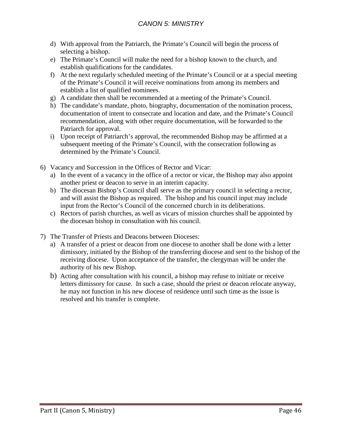- d) With approval from the Patriarch, the Primate's Council will begin the process of selecting a bishop.
- e) The Primate's Council will make the need for a bishop known to the church, and establish qualifications for the candidates.
- f) At the next regularly scheduled meeting of the Primate's Council or at a special meeting of the Primate's Council it will receive nominations from among its members and establish a list of qualified nominees.
- g) A candidate then shall be recommended at a meeting of the Primate's Council.
- h) The candidate's mandate, photo, biography, documentation of the nomination process, documentation of intent to consecrate and location and date, and the Primate's Council recommendation, along with other require documentation, will be forwarded to the Patriarch for approval.
- i) Upon receipt of Patriarch's approval, the recommended Bishop may be affirmed at a subsequent meeting of the Primate's Council, with the consecration following as determined by the Primate's Council.
- 6) Vacancy and Succession in the Offices of Rector and Vicar:
	- a) In the event of a vacancy in the office of a rector or vicar, the Bishop may also appoint another priest or deacon to serve in an interim capacity.
	- b) The diocesan Bishop's Council shall serve as the primary council in selecting a rector, and will assist the Bishop as required. The bishop and his council input may include input from the Rector's Council of the concerned church in its deliberations.
	- c) Rectors of parish churches, as well as vicars of mission churches shall be appointed by the diocesan bishop in consultation with his council.
- 7) The Transfer of Priests and Deacons between Dioceses:
	- a) A transfer of a priest or deacon from one diocese to another shall be done with a letter dimissory, initiated by the Bishop of the transferring diocese and sent to the bishop of the receiving diocese. Upon acceptance of the transfer, the clergyman will be under the authority of his new Bishop.
	- b) Acting after consultation with his council, a bishop may refuse to initiate or receive letters dimissory for cause. In such a case, should the priest or deacon relocate anyway, he may not function in his new diocese of residence until such time as the issue is resolved and his transfer is complete.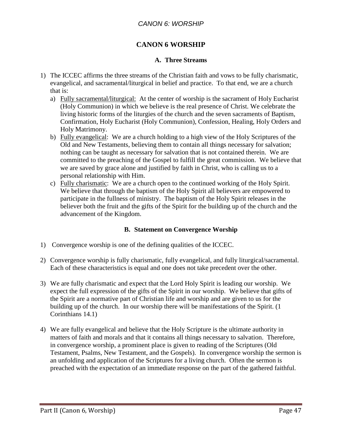#### **CANON 6 WORSHIP**

#### **A. Three Streams**

- 1) The ICCEC affirms the three streams of the Christian faith and vows to be fully charismatic, evangelical, and sacramental/liturgical in belief and practice. To that end, we are a church that is:
	- a) Fully sacramental/liturgical: At the center of worship is the sacrament of Holy Eucharist (Holy Communion) in which we believe is the real presence of Christ. We celebrate the living historic forms of the liturgies of the church and the seven sacraments of Baptism, Confirmation, Holy Eucharist (Holy Communion), Confession, Healing, Holy Orders and Holy Matrimony.
	- b) Fully evangelical: We are a church holding to a high view of the Holy Scriptures of the Old and New Testaments, believing them to contain all things necessary for salvation; nothing can be taught as necessary for salvation that is not contained therein. We are committed to the preaching of the Gospel to fulfill the great commission. We believe that we are saved by grace alone and justified by faith in Christ, who is calling us to a personal relationship with Him.
	- c) Fully charismatic: We are a church open to the continued working of the Holy Spirit. We believe that through the baptism of the Holy Spirit all believers are empowered to participate in the fullness of ministry. The baptism of the Holy Spirit releases in the believer both the fruit and the gifts of the Spirit for the building up of the church and the advancement of the Kingdom.

#### **B. Statement on Convergence Worship**

- 1) Convergence worship is one of the defining qualities of the ICCEC.
- 2) Convergence worship is fully charismatic, fully evangelical, and fully liturgical/sacramental. Each of these characteristics is equal and one does not take precedent over the other.
- 3) We are fully charismatic and expect that the Lord Holy Spirit is leading our worship. We expect the full expression of the gifts of the Spirit in our worship. We believe that gifts of the Spirit are a normative part of Christian life and worship and are given to us for the building up of the church. In our worship there will be manifestations of the Spirit. (1 Corinthians 14.1)
- 4) We are fully evangelical and believe that the Holy Scripture is the ultimate authority in matters of faith and morals and that it contains all things necessary to salvation. Therefore, in convergence worship, a prominent place is given to reading of the Scriptures (Old Testament, Psalms, New Testament, and the Gospels). In convergence worship the sermon is an unfolding and application of the Scriptures for a living church. Often the sermon is preached with the expectation of an immediate response on the part of the gathered faithful.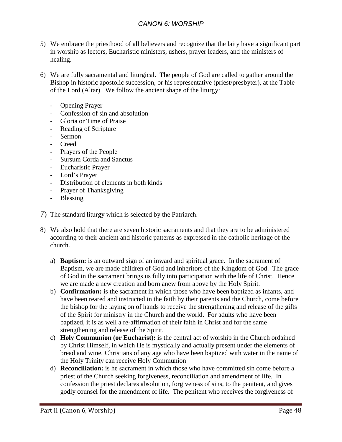#### *CANON 6: WORSHIP*

- 5) We embrace the priesthood of all believers and recognize that the laity have a significant part in worship as lectors, Eucharistic ministers, ushers, prayer leaders, and the ministers of healing.
- 6) We are fully sacramental and liturgical. The people of God are called to gather around the Bishop in historic apostolic succession, or his representative (priest/presbyter), at the Table of the Lord (Altar). We follow the ancient shape of the liturgy:
	- Opening Prayer
	- Confession of sin and absolution
	- Gloria or Time of Praise
	- Reading of Scripture
	- Sermon
	- **Creed**
	- Prayers of the People
	- Sursum Corda and Sanctus
	- Eucharistic Prayer
	- Lord's Prayer
	- Distribution of elements in both kinds
	- Prayer of Thanksgiving
	- Blessing
- 7) The standard liturgy which is selected by the Patriarch.
- 8) We also hold that there are seven historic sacraments and that they are to be administered according to their ancient and historic patterns as expressed in the catholic heritage of the church.
	- a) **Baptism:** is an outward sign of an inward and spiritual grace. In the sacrament of Baptism, we are made children of God and inheritors of the Kingdom of God. The grace of God in the sacrament brings us fully into participation with the life of Christ. Hence we are made a new creation and born anew from above by the Holy Spirit.
	- b) **Confirmation:** is the sacrament in which those who have been baptized as infants, and have been reared and instructed in the faith by their parents and the Church, come before the bishop for the laying on of hands to receive the strengthening and release of the gifts of the Spirit for ministry in the Church and the world. For adults who have been baptized, it is as well a re-affirmation of their faith in Christ and for the same strengthening and release of the Spirit.
	- c) **Holy Communion (or Eucharist):** is the central act of worship in the Church ordained by Christ Himself, in which He is mystically and actually present under the elements of bread and wine. Christians of any age who have been baptized with water in the name of the Holy Trinity can receive Holy Communion
	- d) **Reconciliation:** is he sacrament in which those who have committed sin come before a priest of the Church seeking forgiveness, reconciliation and amendment of life. In confession the priest declares absolution, forgiveness of sins, to the penitent, and gives godly counsel for the amendment of life. The penitent who receives the forgiveness of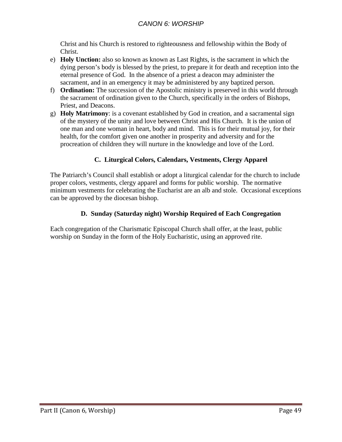Christ and his Church is restored to righteousness and fellowship within the Body of Christ.

- e) **Holy Unction:** also so known as known as Last Rights, is the sacrament in which the dying person's body is blessed by the priest, to prepare it for death and reception into the eternal presence of God. In the absence of a priest a deacon may administer the sacrament, and in an emergency it may be administered by any baptized person.
- f) **Ordination:** The succession of the Apostolic ministry is preserved in this world through the sacrament of ordination given to the Church, specifically in the orders of Bishops, Priest, and Deacons.
- g) **Holy Matrimony**: is a covenant established by God in creation, and a sacramental sign of the mystery of the unity and love between Christ and His Church. It is the union of one man and one woman in heart, body and mind. This is for their mutual joy, for their health, for the comfort given one another in prosperity and adversity and for the procreation of children they will nurture in the knowledge and love of the Lord.

#### **C. Liturgical Colors, Calendars, Vestments, Clergy Apparel**

The Patriarch's Council shall establish or adopt a liturgical calendar for the church to include proper colors, vestments, clergy apparel and forms for public worship. The normative minimum vestments for celebrating the Eucharist are an alb and stole. Occasional exceptions can be approved by the diocesan bishop.

#### **D. Sunday (Saturday night) Worship Required of Each Congregation**

Each congregation of the Charismatic Episcopal Church shall offer, at the least, public worship on Sunday in the form of the Holy Eucharistic, using an approved rite.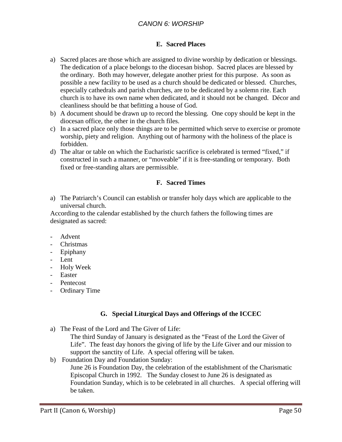#### *CANON 6: WORSHIP*

#### **E. Sacred Places**

- a) Sacred places are those which are assigned to divine worship by dedication or blessings. The dedication of a place belongs to the diocesan bishop. Sacred places are blessed by the ordinary. Both may however, delegate another priest for this purpose. As soon as possible a new facility to be used as a church should be dedicated or blessed. Churches, especially cathedrals and parish churches, are to be dedicated by a solemn rite. Each church is to have its own name when dedicated, and it should not be changed. Décor and cleanliness should be that befitting a house of God.
- b) A document should be drawn up to record the blessing. One copy should be kept in the diocesan office, the other in the church files.
- c) In a sacred place only those things are to be permitted which serve to exercise or promote worship, piety and religion. Anything out of harmony with the holiness of the place is forbidden.
- d) The altar or table on which the Eucharistic sacrifice is celebrated is termed "fixed," if constructed in such a manner, or "moveable" if it is free-standing or temporary. Both fixed or free-standing altars are permissible.

#### **F. Sacred Times**

a) The Patriarch's Council can establish or transfer holy days which are applicable to the universal church.

According to the calendar established by the church fathers the following times are designated as sacred:

- Advent
- Christmas
- Epiphany
- Lent
- Holy Week
- Easter
- Pentecost
- Ordinary Time

#### **G. Special Liturgical Days and Offerings of the ICCEC**

a) The Feast of the Lord and The Giver of Life:

The third Sunday of January is designated as the "Feast of the Lord the Giver of Life". The feast day honors the giving of life by the Life Giver and our mission to support the sanctity of Life. A special offering will be taken.

b) Foundation Day and Foundation Sunday:

June 26 is Foundation Day, the celebration of the establishment of the Charismatic Episcopal Church in 1992. The Sunday closest to June 26 is designated as Foundation Sunday, which is to be celebrated in all churches. A special offering will be taken.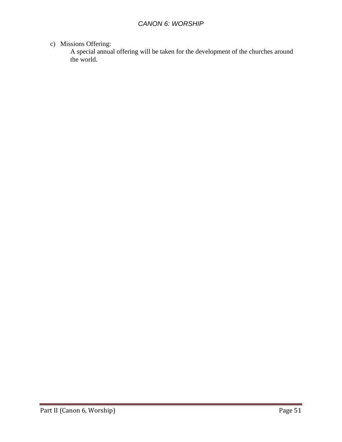#### c) Missions Offering:

A special annual offering will be taken for the development of the churches around the world.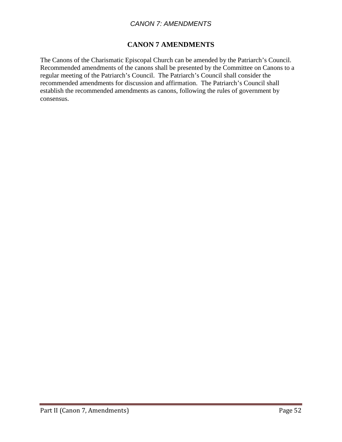#### *CANON 7: AMENDMENTS*

#### **CANON 7 AMENDMENTS**

The Canons of the Charismatic Episcopal Church can be amended by the Patriarch's Council. Recommended amendments of the canons shall be presented by the Committee on Canons to a regular meeting of the Patriarch's Council. The Patriarch's Council shall consider the recommended amendments for discussion and affirmation. The Patriarch's Council shall establish the recommended amendments as canons, following the rules of government by consensus.